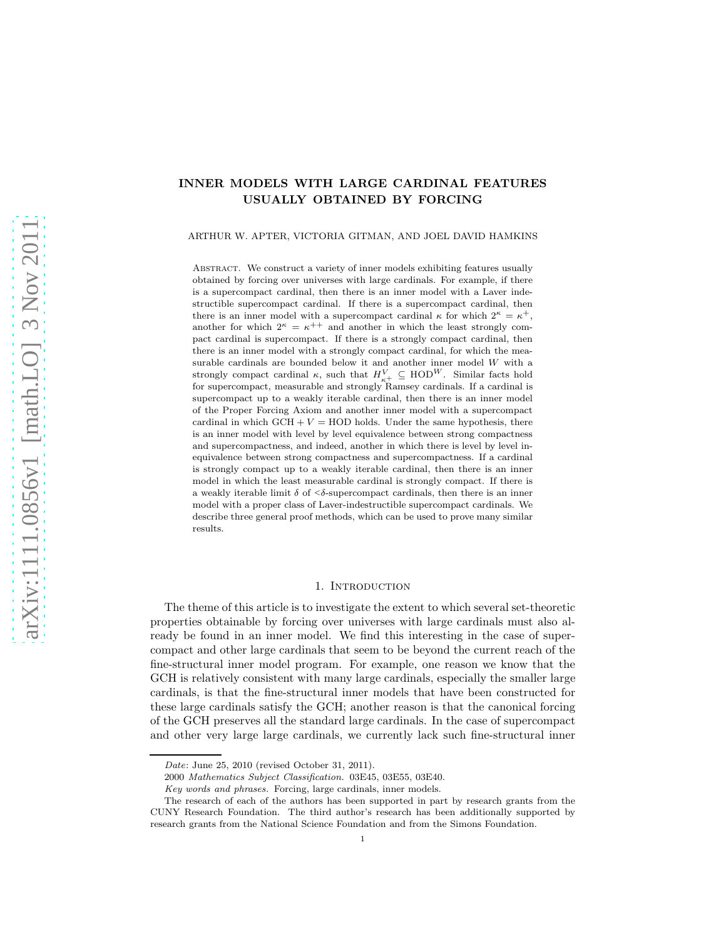# INNER MODELS WITH LARGE CARDINAL FEATURES USUALLY OBTAINED BY FORCING

ARTHUR W. APTER, VICTORIA GITMAN, AND JOEL DAVID HAMKINS

ABSTRACT. We construct a variety of inner models exhibiting features usually obtained by forcing over universes with large cardinals. For example, if there is a supercompact cardinal, then there is an inner model with a Laver indestructible supercompact cardinal. If there is a supercompact cardinal, then there is an inner model with a supercompact cardinal  $\kappa$  for which  $2^{\kappa} = \kappa^+$ , another for which  $2^{\kappa} = \kappa^{++}$  and another in which the least strongly compact cardinal is supercompact. If there is a strongly compact cardinal, then there is an inner model with a strongly compact cardinal, for which the measurable cardinals are bounded below it and another inner model W with a strongly compact cardinal  $\kappa$ , such that  $H_{\kappa+}^V \subseteq \text{HOD}^W$ . Similar facts hold for supercompact, measurable and strongly Ramsey cardinals. If a cardinal is supercompact up to a weakly iterable cardinal, then there is an inner model of the Proper Forcing Axiom and another inner model with a supercompact cardinal in which  $GCH + V = HOD$  holds. Under the same hypothesis, there is an inner model with level by level equivalence between strong compactness and supercompactness, and indeed, another in which there is level by level inequivalence between strong compactness and supercompactness. If a cardinal is strongly compact up to a weakly iterable cardinal, then there is an inner model in which the least measurable cardinal is strongly compact. If there is a weakly iterable limit  $\delta$  of  $\leq \delta$ -supercompact cardinals, then there is an inner model with a proper class of Laver-indestructible supercompact cardinals. We describe three general proof methods, which can be used to prove many similar results.

## 1. INTRODUCTION

The theme of this article is to investigate the extent to which several set-theoretic properties obtainable by forcing over universes with large cardinals must also already be found in an inner model. We find this interesting in the case of supercompact and other large cardinals that seem to be beyond the current reach of the fine-structural inner model program. For example, one reason we know that the GCH is relatively consistent with many large cardinals, especially the smaller large cardinals, is that the fine-structural inner models that have been constructed for these large cardinals satisfy the GCH; another reason is that the canonical forcing of the GCH preserves all the standard large cardinals. In the case of supercompact and other very large large cardinals, we currently lack such fine-structural inner

Date: June 25, 2010 (revised October 31, 2011).

<sup>2000</sup> Mathematics Subject Classification. 03E45, 03E55, 03E40.

Key words and phrases. Forcing, large cardinals, inner models.

The research of each of the authors has been supported in part by research grants from the CUNY Research Foundation. The third author's research has been additionally supported by research grants from the National Science Foundation and from the Simons Foundation.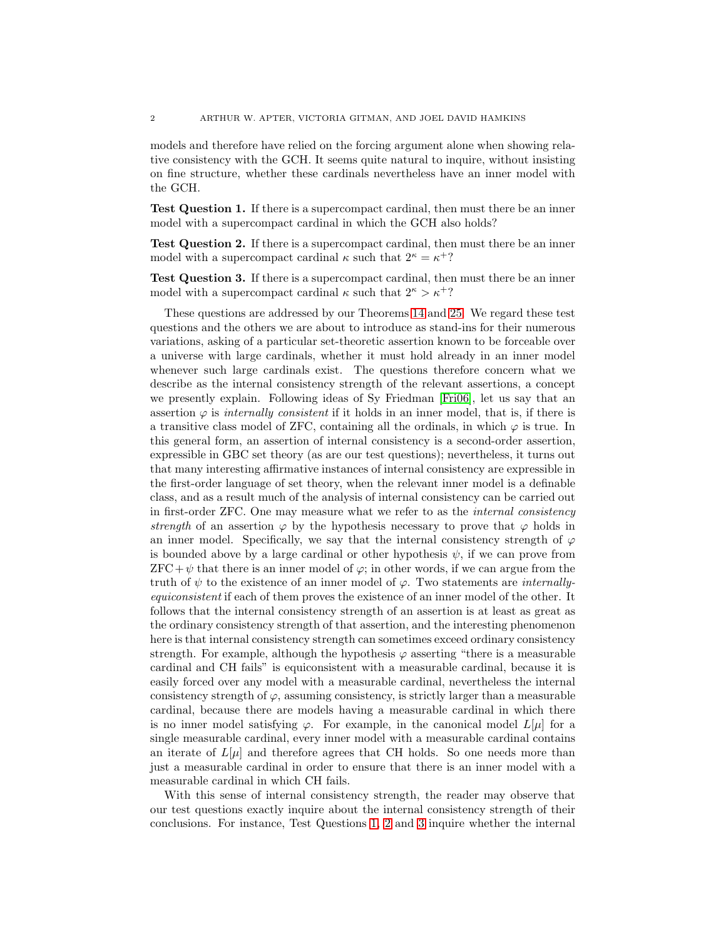models and therefore have relied on the forcing argument alone when showing relative consistency with the GCH. It seems quite natural to inquire, without insisting on fine structure, whether these cardinals nevertheless have an inner model with the GCH.

<span id="page-1-0"></span>Test Question 1. If there is a supercompact cardinal, then must there be an inner model with a supercompact cardinal in which the GCH also holds?

<span id="page-1-1"></span>Test Question 2. If there is a supercompact cardinal, then must there be an inner model with a supercompact cardinal  $\kappa$  such that  $2^{\kappa} = \kappa^+$ ?

<span id="page-1-2"></span>Test Question 3. If there is a supercompact cardinal, then must there be an inner model with a supercompact cardinal  $\kappa$  such that  $2^{\kappa} > \kappa^+$ ?

These questions are addressed by our Theorems [14](#page-6-0) and [25.](#page-18-0) We regard these test questions and the others we are about to introduce as stand-ins for their numerous variations, asking of a particular set-theoretic assertion known to be forceable over a universe with large cardinals, whether it must hold already in an inner model whenever such large cardinals exist. The questions therefore concern what we describe as the internal consistency strength of the relevant assertions, a concept we presently explain. Following ideas of Sy Friedman [\[Fri06\]](#page-24-0), let us say that an assertion  $\varphi$  is *internally consistent* if it holds in an inner model, that is, if there is a transitive class model of ZFC, containing all the ordinals, in which  $\varphi$  is true. In this general form, an assertion of internal consistency is a second-order assertion, expressible in GBC set theory (as are our test questions); nevertheless, it turns out that many interesting affirmative instances of internal consistency are expressible in the first-order language of set theory, when the relevant inner model is a definable class, and as a result much of the analysis of internal consistency can be carried out in first-order ZFC. One may measure what we refer to as the *internal consistency strength* of an assertion  $\varphi$  by the hypothesis necessary to prove that  $\varphi$  holds in an inner model. Specifically, we say that the internal consistency strength of  $\varphi$ is bounded above by a large cardinal or other hypothesis  $\psi$ , if we can prove from  $ZFC+\psi$  that there is an inner model of  $\varphi$ ; in other words, if we can argue from the truth of  $\psi$  to the existence of an inner model of  $\varphi$ . Two statements are *internallyequiconsistent* if each of them proves the existence of an inner model of the other. It follows that the internal consistency strength of an assertion is at least as great as the ordinary consistency strength of that assertion, and the interesting phenomenon here is that internal consistency strength can sometimes exceed ordinary consistency strength. For example, although the hypothesis  $\varphi$  asserting "there is a measurable cardinal and CH fails" is equiconsistent with a measurable cardinal, because it is easily forced over any model with a measurable cardinal, nevertheless the internal consistency strength of  $\varphi$ , assuming consistency, is strictly larger than a measurable cardinal, because there are models having a measurable cardinal in which there is no inner model satisfying  $\varphi$ . For example, in the canonical model  $L[\mu]$  for a single measurable cardinal, every inner model with a measurable cardinal contains an iterate of  $L[\mu]$  and therefore agrees that CH holds. So one needs more than just a measurable cardinal in order to ensure that there is an inner model with a measurable cardinal in which CH fails.

With this sense of internal consistency strength, the reader may observe that our test questions exactly inquire about the internal consistency strength of their conclusions. For instance, Test Questions [1,](#page-1-0) [2](#page-1-1) and [3](#page-1-2) inquire whether the internal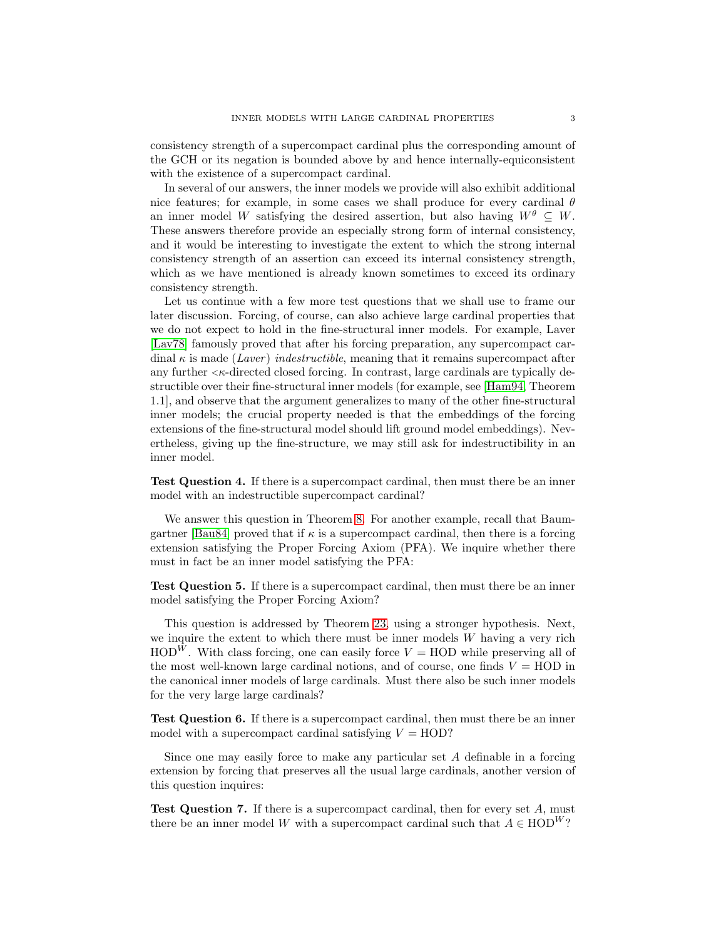consistency strength of a supercompact cardinal plus the corresponding amount of the GCH or its negation is bounded above by and hence internally-equiconsistent with the existence of a supercompact cardinal.

In several of our answers, the inner models we provide will also exhibit additional nice features; for example, in some cases we shall produce for every cardinal  $\theta$ an inner model W satisfying the desired assertion, but also having  $W^{\theta} \subseteq W$ . These answers therefore provide an especially strong form of internal consistency, and it would be interesting to investigate the extent to which the strong internal consistency strength of an assertion can exceed its internal consistency strength, which as we have mentioned is already known sometimes to exceed its ordinary consistency strength.

Let us continue with a few more test questions that we shall use to frame our later discussion. Forcing, of course, can also achieve large cardinal properties that we do not expect to hold in the fine-structural inner models. For example, Laver [\[Lav78\]](#page-24-1) famously proved that after his forcing preparation, any supercompact cardinal κ is made (*Laver* ) *indestructible*, meaning that it remains supercompact after any further  $\lt k$ -directed closed forcing. In contrast, large cardinals are typically destructible over their fine-structural inner models (for example, see [\[Ham94,](#page-24-2) Theorem 1.1], and observe that the argument generalizes to many of the other fine-structural inner models; the crucial property needed is that the embeddings of the forcing extensions of the fine-structural model should lift ground model embeddings). Nevertheless, giving up the fine-structure, we may still ask for indestructibility in an inner model.

<span id="page-2-0"></span>Test Question 4. If there is a supercompact cardinal, then must there be an inner model with an indestructible supercompact cardinal?

We answer this question in Theorem [8.](#page-4-0) For another example, recall that Baum-gartner [\[Bau84\]](#page-24-3) proved that if  $\kappa$  is a supercompact cardinal, then there is a forcing extension satisfying the Proper Forcing Axiom (PFA). We inquire whether there must in fact be an inner model satisfying the PFA:

<span id="page-2-3"></span>Test Question 5. If there is a supercompact cardinal, then must there be an inner model satisfying the Proper Forcing Axiom?

This question is addressed by Theorem [23,](#page-17-0) using a stronger hypothesis. Next, we inquire the extent to which there must be inner models  $W$  having a very rich  $HOD^{W}$ . With class forcing, one can easily force  $V = HOD$  while preserving all of the most well-known large cardinal notions, and of course, one finds  $V = \text{HOD}$  in the canonical inner models of large cardinals. Must there also be such inner models for the very large large cardinals?

<span id="page-2-1"></span>Test Question 6. If there is a supercompact cardinal, then must there be an inner model with a supercompact cardinal satisfying  $V = HOD$ ?

Since one may easily force to make any particular set A definable in a forcing extension by forcing that preserves all the usual large cardinals, another version of this question inquires:

<span id="page-2-2"></span>**Test Question 7.** If there is a supercompact cardinal, then for every set  $A$ , must there be an inner model W with a supercompact cardinal such that  $A \in \text{HOD}^W$ ?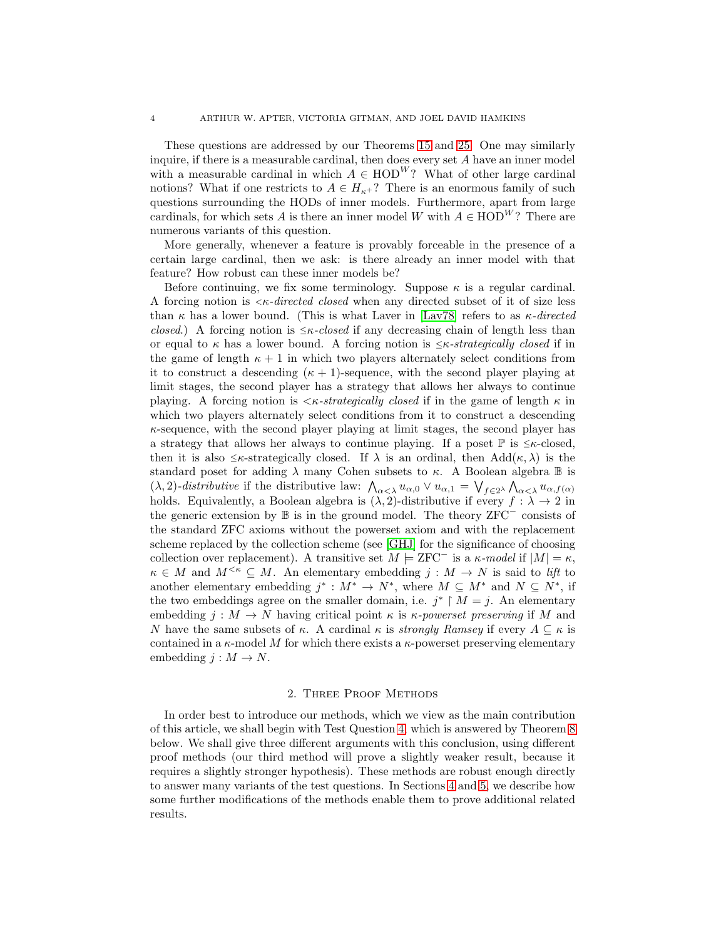These questions are addressed by our Theorems [15](#page-7-0) and [25.](#page-18-0) One may similarly inquire, if there is a measurable cardinal, then does every set A have an inner model with a measurable cardinal in which  $A \in \text{HOD}^W$ ? What of other large cardinal notions? What if one restricts to  $A \in H_{\kappa+}$ ? There is an enormous family of such questions surrounding the HODs of inner models. Furthermore, apart from large cardinals, for which sets A is there an inner model W with  $A \in \text{HOD}^W$ ? There are numerous variants of this question.

More generally, whenever a feature is provably forceable in the presence of a certain large cardinal, then we ask: is there already an inner model with that feature? How robust can these inner models be?

Before continuing, we fix some terminology. Suppose  $\kappa$  is a regular cardinal. A forcing notion is <sup>&</sup>lt;κ*-directed closed* when any directed subset of it of size less than  $\kappa$  has a lower bound. (This is what Laver in [\[Lav78\]](#page-24-1) refers to as  $\kappa$ -directed *closed.*) A forcing notion is  $\leq$ κ*-closed* if any decreasing chain of length less than or equal to  $\kappa$  has a lower bound. A forcing notion is  $\leq \kappa$ -strategically closed if in the game of length  $\kappa + 1$  in which two players alternately select conditions from it to construct a descending  $(\kappa + 1)$ -sequence, with the second player playing at limit stages, the second player has a strategy that allows her always to continue playing. A forcing notion is  $\langle \kappa\text{-}strategy \text{ }lbrace\text{ }x\text{ } \text{ }rel\text{ }$  in the game of length  $\kappa$  in which two players alternately select conditions from it to construct a descending  $\kappa$ -sequence, with the second player playing at limit stages, the second player has a strategy that allows her always to continue playing. If a poset  $\mathbb P$  is  $\leq \kappa$ -closed, then it is also  $\leq \kappa$ -strategically closed. If  $\lambda$  is an ordinal, then Add $(\kappa, \lambda)$  is the standard poset for adding  $\lambda$  many Cohen subsets to  $\kappa$ . A Boolean algebra  $\mathbb B$  is ( $\lambda$ , 2)*-distributive* if the distributive law:  $\int_{\alpha < \lambda} u_{\alpha,0} \vee u_{\alpha,1} = \bigvee_{f \in 2^{\lambda}} \int_{\alpha < \lambda} u_{\alpha,f(\alpha)}$ holds. Equivalently, a Boolean algebra is  $(\lambda, 2)$ -distributive if every  $f : \lambda \to 2$  in the generic extension by B is in the ground model. The theory ZFC<sup>−</sup> consists of the standard ZFC axioms without the powerset axiom and with the replacement scheme replaced by the collection scheme (see [\[GHJ\]](#page-24-4) for the significance of choosing collection over replacement). A transitive set  $M \models \text{ZFC}^-$  is a  $\kappa$ -model if  $|M| = \kappa$ ,  $\kappa \in M$  and  $M^{<\kappa} \subseteq M$ . An elementary embedding  $j : M \to N$  is said to *lift* to another elementary embedding  $j^* : M^* \to N^*$ , where  $M \subseteq M^*$  and  $N \subseteq N^*$ , if the two embeddings agree on the smaller domain, i.e.  $j^* \restriction M = j$ . An elementary embedding  $j : M \to N$  having critical point  $\kappa$  is  $\kappa$ -*powerset preserving* if M and N have the same subsets of  $\kappa$ . A cardinal  $\kappa$  is *strongly Ramsey* if every  $A \subseteq \kappa$  is contained in a  $\kappa$ -model M for which there exists a  $\kappa$ -powerset preserving elementary embedding  $j : M \to N$ .

#### 2. Three Proof Methods

<span id="page-3-0"></span>In order best to introduce our methods, which we view as the main contribution of this article, we shall begin with Test Question [4,](#page-2-0) which is answered by Theorem [8](#page-4-0) below. We shall give three different arguments with this conclusion, using different proof methods (our third method will prove a slightly weaker result, because it requires a slightly stronger hypothesis). These methods are robust enough directly to answer many variants of the test questions. In Sections [4](#page-16-0) and [5,](#page-21-0) we describe how some further modifications of the methods enable them to prove additional related results.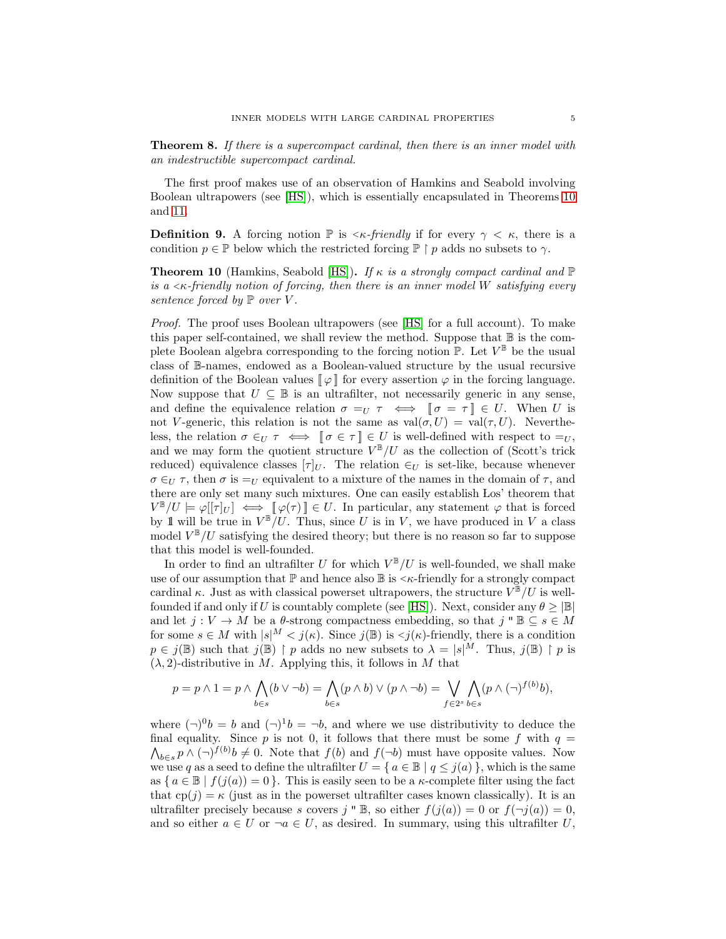<span id="page-4-0"></span>Theorem 8. *If there is a supercompact cardinal, then there is an inner model with an indestructible supercompact cardinal.*

The first proof makes use of an observation of Hamkins and Seabold involving Boolean ultrapowers (see [\[HS\]](#page-24-5)), which is essentially encapsulated in Theorems [10](#page-4-1) and [11.](#page-5-0)

**Definition 9.** A forcing notion  $\mathbb{P}$  is  $\lt k$ -friendly if for every  $\gamma \lt \kappa$ , there is a condition  $p \in \mathbb{P}$  below which the restricted forcing  $\mathbb{P} \restriction p$  adds no subsets to  $\gamma$ .

<span id="page-4-1"></span>Theorem 10 (Hamkins, Seabold [\[HS\]](#page-24-5)). *If* κ *is a strongly compact cardinal and* P *is a* <sup>&</sup>lt;κ*-friendly notion of forcing, then there is an inner model* W *satisfying every sentence forced by* P *over* V *.*

*Proof.* The proof uses Boolean ultrapowers (see [\[HS\]](#page-24-5) for a full account). To make this paper self-contained, we shall review the method. Suppose that  $\mathbb B$  is the complete Boolean algebra corresponding to the forcing notion  $\mathbb{P}$ . Let  $V^{\mathbb{B}}$  be the usual class of B-names, endowed as a Boolean-valued structure by the usual recursive definition of the Boolean values  $\llbracket \varphi \rrbracket$  for every assertion  $\varphi$  in the forcing language. Now suppose that  $U \subseteq \mathbb{B}$  is an ultrafilter, not necessarily generic in any sense, and define the equivalence relation  $\sigma =_U \tau \iff \mathcal{V} = \tau \in U$ . When U is not V-generic, this relation is not the same as  $val(\sigma, U) = val(\tau, U)$ . Nevertheless, the relation  $\sigma \in U \tau \iff \llbracket \sigma \in \tau \rrbracket \in U$  is well-defined with respect to  $=_U$ , and we may form the quotient structure  $V^{\mathbb{B}}/U$  as the collection of (Scott's trick reduced) equivalence classes  $[\tau]_U$ . The relation  $\in_U$  is set-like, because whenever  $\sigma \in_U \tau$ , then  $\sigma$  is  $=U$  equivalent to a mixture of the names in the domain of  $\tau$ , and there are only set many such mixtures. One can easily establish Los' theorem that  $V^{\mathbb{B}}/U \models \varphi[[\tau]_U] \iff [\varphi(\tau) \mathbb{I} \in U$ . In particular, any statement  $\varphi$  that is forced by 1 will be true in  $V^{\mathbb{B}}/U$ . Thus, since U is in V, we have produced in V a class model  $V^{\mathbb{B}}/U$  satisfying the desired theory; but there is no reason so far to suppose that this model is well-founded.

In order to find an ultrafilter U for which  $V^{\mathbb{B}}/U$  is well-founded, we shall make use of our assumption that  $\mathbb P$  and hence also  $\mathbb B$  is  $\lt \kappa$ -friendly for a strongly compact cardinal  $\kappa$ . Just as with classical powerset ultrapowers, the structure  $V^{\mathbb{B}}/U$  is well-founded if and only if U is countably complete (see [\[HS\]](#page-24-5)). Next, consider any  $\theta \geq |\mathbb{B}|$ and let  $j: V \to M$  be a  $\theta$ -strong compactness embedding, so that  $j " \mathbb{B} \subseteq s \in M$ for some  $s \in M$  with  $|s|^M < j(\kappa)$ . Since  $j(\mathbb{B})$  is  $\lt j(\kappa)$ -friendly, there is a condition  $p \in j(\mathbb{B})$  such that  $j(\mathbb{B}) \restriction p$  adds no new subsets to  $\lambda = |s|^M$ . Thus,  $j(\mathbb{B}) \restriction p$  is  $(\lambda, 2)$ -distributive in M. Applying this, it follows in M that

$$
p = p \wedge 1 = p \wedge \bigwedge_{b \in s} (b \vee \neg b) = \bigwedge_{b \in s} (p \wedge b) \vee (p \wedge \neg b) = \bigvee_{f \in 2^s} \bigwedge_{b \in s} (p \wedge (\neg)^{f(b)}b),
$$

where  $(\neg)^0 b = b$  and  $(\neg)^1 b = \neg b$ , and where we use distributivity to deduce the final equality. Since p is not 0, it follows that there must be some f with  $q =$  $\bigwedge_{b\in s} p \wedge (\neg)^{f(b)} b \neq 0$ . Note that  $f(b)$  and  $f(\neg b)$  must have opposite values. Now we use q as a seed to define the ultrafilter  $U = \{ a \in \mathbb{B} \mid q \leq j(a) \}$ , which is the same as  $\{a \in \mathbb{B} \mid f(j(a)) = 0\}$ . This is easily seen to be a  $\kappa$ -complete filter using the fact that  $cp(j) = \kappa$  (just as in the powerset ultrafilter cases known classically). It is an ultrafilter precisely because s covers j "  $\mathbb{B}$ , so either  $f(j(a)) = 0$  or  $f(\neg j(a)) = 0$ , and so either  $a \in U$  or  $\neg a \in U$ , as desired. In summary, using this ultrafilter U,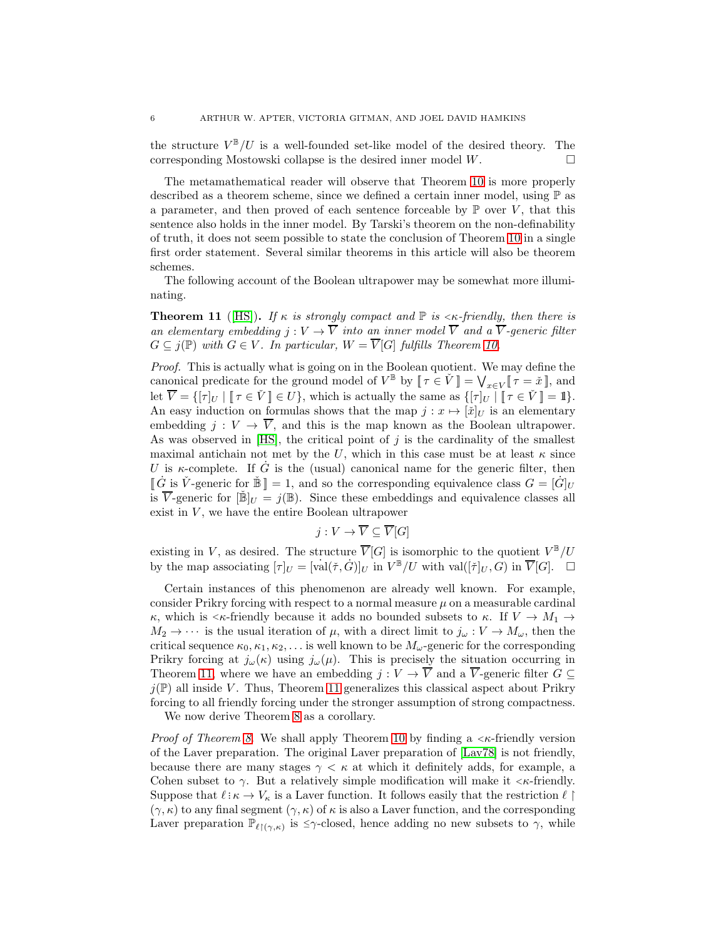the structure  $V^{\mathbb{B}}/U$  is a well-founded set-like model of the desired theory. The corresponding Mostowski collapse is the desired inner model  $W$ .

The metamathematical reader will observe that Theorem [10](#page-4-1) is more properly described as a theorem scheme, since we defined a certain inner model, using P as a parameter, and then proved of each sentence forceable by  $\mathbb P$  over V, that this sentence also holds in the inner model. By Tarski's theorem on the non-definability of truth, it does not seem possible to state the conclusion of Theorem [10](#page-4-1) in a single first order statement. Several similar theorems in this article will also be theorem schemes.

The following account of the Boolean ultrapower may be somewhat more illuminating.

<span id="page-5-0"></span>**Theorem 11** ([\[HS\]](#page-24-5)). *If*  $\kappa$  *is strongly compact and*  $\mathbb{P}$  *is*  $\lt \kappa$ -friendly, then there is *an elementary embedding*  $j: V \to \overline{V}$  *into an inner model*  $\overline{V}$  *and a*  $\overline{V}$ *-generic filter*  $G \subseteq j(\mathbb{P})$  *with*  $G \in V$ *. In particular,*  $W = \overline{V}[G]$  *fulfills Theorem [10.](#page-4-1)* 

*Proof.* This is actually what is going on in the Boolean quotient. We may define the canonical predicate for the ground model of  $V^{\mathbb{B}}$  by  $\llbracket \tau \in \check{V} \rrbracket = \bigvee_{x \in V} \llbracket \tau = \check{x} \rrbracket$ , and let  $\overline{V} = \{[\tau]_U \mid [\![\tau \in \check{V}]\!] \in U\}$ , which is actually the same as  $\{[\tau]_U \mid [\![\tau \in \check{V}]\!] = 1\}$ . An easy induction on formulas shows that the map  $j : x \mapsto [\check{x}]_U$  is an elementary embedding  $j: V \to \overline{V}$ , and this is the map known as the Boolean ultrapower. As was observed in  $[HS]$ , the critical point of j is the cardinality of the smallest maximal antichain not met by the U, which in this case must be at least  $\kappa$  since U is  $\kappa$ -complete. If  $\dot{G}$  is the (usual) canonical name for the generic filter, then  $\[\vec{G}\]$  is  $\check{V}$ -generic for  $\check{B}\] = 1$ , and so the corresponding equivalence class  $G = [\dot{G}]_U$ is  $\overline{V}$ -generic for  $[\mathbb{B}]_U = i(\mathbb{B})$ . Since these embeddings and equivalence classes all exist in  $V$ , we have the entire Boolean ultrapower

$$
j: V \to \overline{V} \subseteq \overline{V}[G]
$$

existing in V, as desired. The structure  $\overline{V}[G]$  is isomorphic to the quotient  $V^{\mathbb{B}}/U$ by the map associating  $[\tau]_U = [\text{val}(\check{\tau}, \dot{G})]_U$  in  $V^{\mathbb{B}}/U$  with  $\text{val}([\check{\tau}]_U, G)$  in  $\overline{V}[G]$ .  $\Box$ 

Certain instances of this phenomenon are already well known. For example, consider Prikry forcing with respect to a normal measure  $\mu$  on a measurable cardinal κ, which is  $\lt k$ -friendly because it adds no bounded subsets to κ. If  $V \to M_1 \to$  $M_2 \to \cdots$  is the usual iteration of  $\mu$ , with a direct limit to  $j_\omega : V \to M_\omega$ , then the critical sequence  $\kappa_0, \kappa_1, \kappa_2, \ldots$  is well known to be  $M_\omega$ -generic for the corresponding Prikry forcing at  $j_{\omega}(\kappa)$  using  $j_{\omega}(\mu)$ . This is precisely the situation occurring in Theorem [11,](#page-5-0) where we have an embedding  $j: V \to \overline{V}$  and a  $\overline{V}$ -generic filter  $G \subseteq$  $j(\mathbb{P})$  all inside V. Thus, Theorem [11](#page-5-0) generalizes this classical aspect about Prikry forcing to all friendly forcing under the stronger assumption of strong compactness.

We now derive Theorem [8](#page-4-0) as a corollary.

*Proof of Theorem [8.](#page-4-0)* We shall apply Theorem [10](#page-4-1) by finding a  $\lt$  *k*-friendly version of the Laver preparation. The original Laver preparation of [\[Lav78\]](#page-24-1) is not friendly, because there are many stages  $\gamma < \kappa$  at which it definitely adds, for example, a Cohen subset to  $\gamma$ . But a relatively simple modification will make it  $\langle \kappa$ -friendly. Suppose that  $\ell : \kappa \to V_{\kappa}$  is a Laver function. It follows easily that the restriction  $\ell \restriction \mathbb{Z}$  $(\gamma, \kappa)$  to any final segment  $(\gamma, \kappa)$  of  $\kappa$  is also a Laver function, and the corresponding Laver preparation  $\mathbb{P}_{\ell^{\uparrow}(\gamma,\kappa)}$  is  $\leq \gamma$ -closed, hence adding no new subsets to  $\gamma$ , while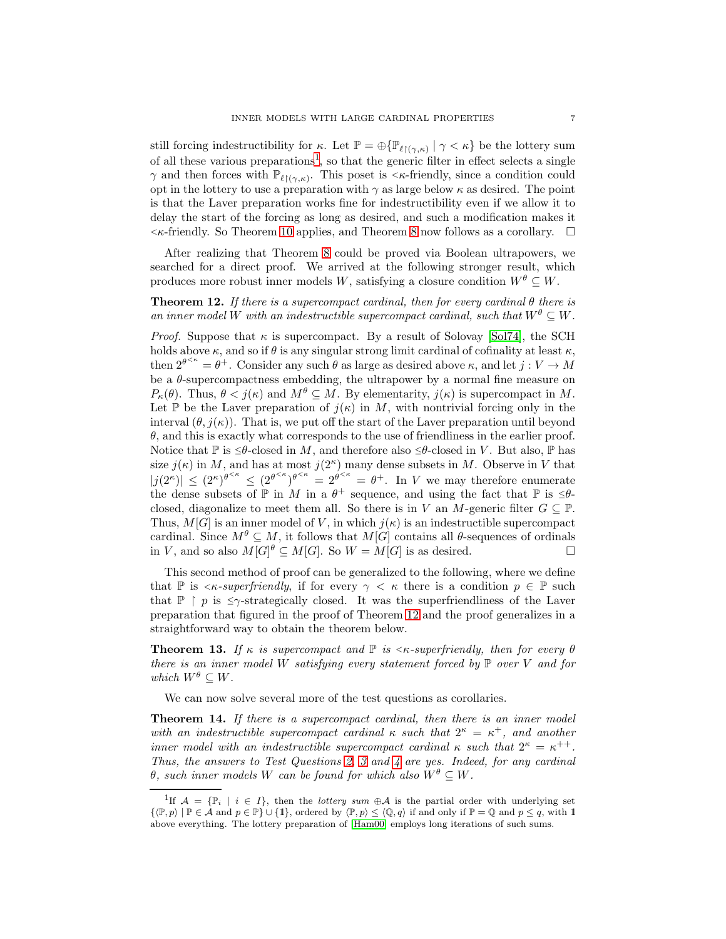still forcing indestructibility for  $\kappa$ . Let  $\mathbb{P} = \bigoplus \{ \mathbb{P}_{\ell | (\gamma,\kappa)} \mid \gamma < \kappa \}$  be the lottery sum of all these various preparations<sup>[1](#page-6-1)</sup>, so that the generic filter in effect selects a single  $\gamma$  and then forces with  $\mathbb{P}_{\ell(\gamma,\kappa)}$ . This poset is  $\langle \kappa\text{-friendly, since a condition could}$ opt in the lottery to use a preparation with  $\gamma$  as large below  $\kappa$  as desired. The point is that the Laver preparation works fine for indestructibility even if we allow it to delay the start of the forcing as long as desired, and such a modification makes it  $\lt$   $\lt$  friendly. So Theorem [10](#page-4-1) applies, and Theorem [8](#page-4-0) now follows as a corollary.  $\Box$ 

After realizing that Theorem [8](#page-4-0) could be proved via Boolean ultrapowers, we searched for a direct proof. We arrived at the following stronger result, which produces more robust inner models W, satisfying a closure condition  $W^{\theta} \subseteq W$ .

<span id="page-6-2"></span>Theorem 12. *If there is a supercompact cardinal, then for every cardinal* θ *there is an inner model* W *with an indestructible supercompact cardinal, such that*  $W^{\theta} \subset W$ .

*Proof.* Suppose that  $\kappa$  is supercompact. By a result of Solovay [\[Sol74\]](#page-24-6), the SCH holds above  $\kappa$ , and so if  $\theta$  is any singular strong limit cardinal of cofinality at least  $\kappa$ , then  $2^{\theta^{<\kappa}} = \theta^+$ . Consider any such  $\theta$  as large as desired above  $\kappa$ , and let  $j: V \to M$ be a  $\theta$ -supercompactness embedding, the ultrapower by a normal fine measure on  $P_{\kappa}(\theta)$ . Thus,  $\theta < j(\kappa)$  and  $M^{\theta} \subseteq M$ . By elementarity,  $j(\kappa)$  is supercompact in M. Let P be the Laver preparation of  $j(\kappa)$  in M, with nontrivial forcing only in the interval  $(\theta, j(\kappa))$ . That is, we put off the start of the Laver preparation until beyond  $\theta$ , and this is exactly what corresponds to the use of friendliness in the earlier proof. Notice that P is  $\leq \theta$ -closed in M, and therefore also  $\leq \theta$ -closed in V. But also, P has size  $j(\kappa)$  in M, and has at most  $j(2^{\kappa})$  many dense subsets in M. Observe in V that  $|j(2^{\kappa})| \leq (2^{\kappa})^{\theta^{<\kappa}} \leq (2^{\theta^{<\kappa}})^{\theta^{<\kappa}} = 2^{\theta^{<\kappa}} = \theta^+$ . In V we may therefore enumerate the dense subsets of  $\mathbb P$  in M in a  $\theta^+$  sequence, and using the fact that  $\mathbb P$  is  $\leq \theta$ closed, diagonalize to meet them all. So there is in V an M-generic filter  $G \subseteq \mathbb{P}$ . Thus,  $M[G]$  is an inner model of V, in which  $j(\kappa)$  is an indestructible supercompact cardinal. Since  $M^{\theta} \subseteq M$ , it follows that  $M[G]$  contains all  $\theta$ -sequences of ordinals in V, and so also  $M[G]^{\theta} \subseteq M[G]$ . So  $W = M[G]$  is as desired.

This second method of proof can be generalized to the following, where we define that P is  $\leq k$ -superfriendly, if for every  $\gamma \leq \kappa$  there is a condition  $p \in \mathbb{P}$  such that  $\mathbb{P} \restriction p$  is  $\leq \gamma$ -strategically closed. It was the superfriendliness of the Laver preparation that figured in the proof of Theorem [12](#page-6-2) and the proof generalizes in a straightforward way to obtain the theorem below.

<span id="page-6-3"></span>**Theorem 13.** *If*  $\kappa$  *is supercompact and*  $\mathbb{P}$  *is*  $\langle \kappa$ -superfriendly, then for every  $\theta$ *there is an inner model* W *satisfying every statement forced by* P *over* V *and for which*  $W^{\theta} \subseteq W$ .

We can now solve several more of the test questions as corollaries.

<span id="page-6-0"></span>Theorem 14. *If there is a supercompact cardinal, then there is an inner model* with an indestructible supercompact cardinal  $\kappa$  such that  $2^{\kappa} = \kappa^+$ , and another *inner model with an indestructible supercompact cardinal*  $\kappa$  *such that*  $2^{\kappa} = \kappa^{++}$ . *Thus, the answers to Test Questions [2,](#page-1-1) [3](#page-1-2) and [4](#page-2-0) are yes. Indeed, for any cardinal*  $\theta$ *, such inner models* W *can be found for which also*  $W^{\theta} \subseteq W$ *.* 

<span id="page-6-1"></span><sup>&</sup>lt;sup>1</sup>If  $\mathcal{A} = {\mathbb{P}_i \mid i \in I}$ , then the *lottery sum*  $\oplus \mathcal{A}$  is the partial order with underlying set  $\{ \langle \mathbb{P}, p \rangle \mid \mathbb{P} \in \mathcal{A} \text{ and } p \in \mathbb{P} \} \cup \{ \mathbf{1} \}, \text{ ordered by } \langle \mathbb{P}, p \rangle \leq \langle \mathbb{Q}, q \rangle \text{ if and only if } \mathbb{P} = \mathbb{Q} \text{ and } p \leq q, \text{ with } \mathbf{1}$ above everything. The lottery preparation of [\[Ham00\]](#page-24-7) employs long iterations of such sums.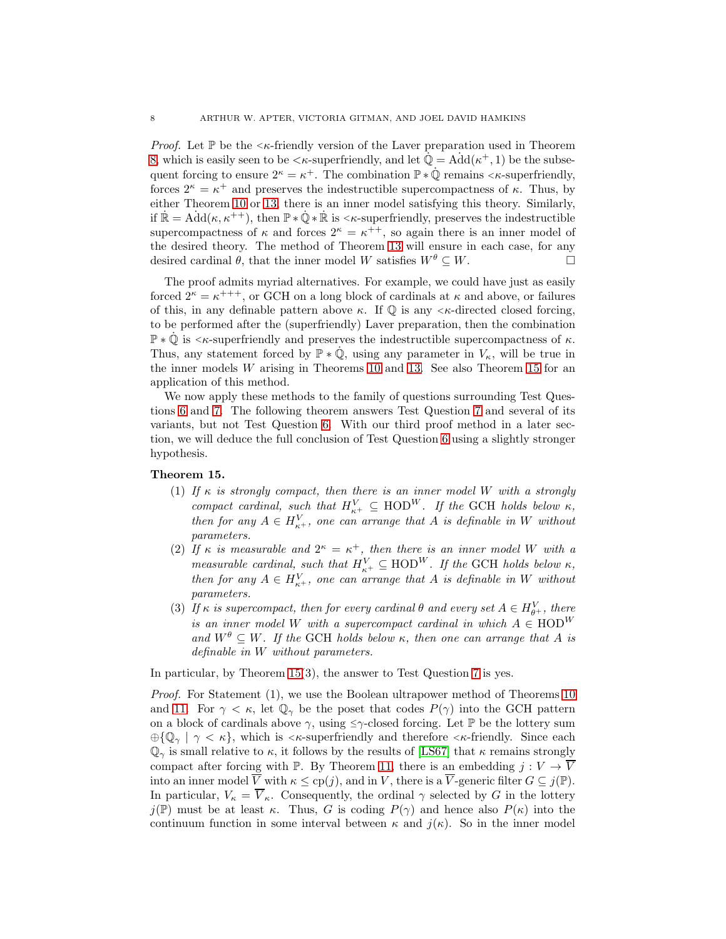*Proof.* Let  $\mathbb P$  be the  $\lt_{\kappa}$ -friendly version of the Laver preparation used in Theorem [8,](#page-4-0) which is easily seen to be  $\langle \kappa$ -superfriendly, and let  $\mathbb{Q} = \text{Add}(\kappa^+, 1)$  be the subsequent forcing to ensure  $2^{\kappa} = \kappa^+$ . The combination  $\mathbb{P} * \dot{\mathbb{Q}}$  remains  $\lt \kappa$ -superfriendly, forces  $2^{\kappa} = \kappa^+$  and preserves the indestructible supercompactness of  $\kappa$ . Thus, by either Theorem [10](#page-4-1) or [13,](#page-6-3) there is an inner model satisfying this theory. Similarly, if  $\mathbb{R} = \text{Add}(\kappa, \kappa^{++}),$  then  $\mathbb{P} * \dot{\mathbb{Q}} * \dot{\mathbb{R}}$  is  $\lt \kappa$ -superfriendly, preserves the indestructible supercompactness of  $\kappa$  and forces  $2^{\kappa} = \kappa^{++}$ , so again there is an inner model of the desired theory. The method of Theorem [13](#page-6-3) will ensure in each case, for any desired cardinal  $\theta$ , that the inner model W satisfies  $W^{\theta} \subseteq W$ .

The proof admits myriad alternatives. For example, we could have just as easily forced  $2^{\kappa} = \kappa^{+++}$ , or GCH on a long block of cardinals at  $\kappa$  and above, or failures of this, in any definable pattern above  $\kappa$ . If  $\mathbb{O}$  is any  $\lt_{\kappa}$ -directed closed forcing, to be performed after the (superfriendly) Laver preparation, then the combination  $\mathbb{P} * \dot{\mathbb{Q}}$  is  $\lt \kappa$ -superfriendly and preserves the indestructible supercompactness of  $\kappa$ . Thus, any statement forced by  $\mathbb{P} * \dot{\mathbb{Q}}$ , using any parameter in  $V_{\kappa}$ , will be true in the inner models W arising in Theorems [10](#page-4-1) and [13.](#page-6-3) See also Theorem [15](#page-7-0) for an application of this method.

We now apply these methods to the family of questions surrounding Test Questions [6](#page-2-1) and [7.](#page-2-2) The following theorem answers Test Question [7](#page-2-2) and several of its variants, but not Test Question [6.](#page-2-1) With our third proof method in a later section, we will deduce the full conclusion of Test Question [6](#page-2-1) using a slightly stronger hypothesis.

# <span id="page-7-0"></span>Theorem 15.

- (1) If  $\kappa$  *is strongly compact, then there is an inner model* W *with a strongly compact cardinal, such that*  $H_{\kappa^+}^V \subseteq \text{HOD}^W$ *. If the* GCH *holds below*  $\kappa$ *, then for any*  $A \in H_{\kappa^+}^V$ , one can arrange that A is definable in W without *parameters.*
- (2) If  $\kappa$  is measurable and  $2^{\kappa} = \kappa^+$ , then there is an inner model W with a *measurable cardinal, such that*  $H_{\kappa^+}^V \subseteq \text{HOD}^W$ *. If the* GCH *holds below*  $\kappa$ *, then for any*  $A \in H_{\kappa^+}^V$ , one can arrange that A is definable in W without *parameters.*
- (3) If  $\kappa$  *is supercompact, then for every cardinal*  $\theta$  *and every set*  $A \in H_{\theta+}^V$ *, there is an inner model* W *with a supercompact cardinal in which*  $A \in \text{HOD}^W$ and  $W^{\theta} \subseteq W$ . If the GCH holds below  $\kappa$ , then one can arrange that A is *definable in* W *without parameters.*

In particular, by Theorem [15\(](#page-7-0)3), the answer to Test Question [7](#page-2-2) is yes.

*Proof.* For Statement (1), we use the Boolean ultrapower method of Theorems [10](#page-4-1) and [11.](#page-5-0) For  $\gamma < \kappa$ , let  $\mathbb{Q}_{\gamma}$  be the poset that codes  $P(\gamma)$  into the GCH pattern on a block of cardinals above  $\gamma$ , using  $\leq \gamma$ -closed forcing. Let  $\mathbb P$  be the lottery sum  $\bigoplus \{\mathbb{Q}_\gamma \mid \gamma < \kappa\}$ , which is  $\leq \kappa$ -superfriendly and therefore  $\leq \kappa$ -friendly. Since each  $\mathbb{Q}_{\gamma}$  is small relative to  $\kappa$ , it follows by the results of [\[LS67\]](#page-24-8) that  $\kappa$  remains strongly compact after forcing with P. By Theorem [11,](#page-5-0) there is an embedding  $j: V \to \overline{V}$ into an inner model  $\overline{V}$  with  $\kappa \leq cp(j)$ , and in V, there is a  $\overline{V}$ -generic filter  $G \subseteq j(\mathbb{P})$ . In particular,  $V_{\kappa} = \overline{V}_{\kappa}$ . Consequently, the ordinal  $\gamma$  selected by G in the lottery  $j(\mathbb{P})$  must be at least κ. Thus, G is coding  $P(\gamma)$  and hence also  $P(\kappa)$  into the continuum function in some interval between  $\kappa$  and  $j(\kappa)$ . So in the inner model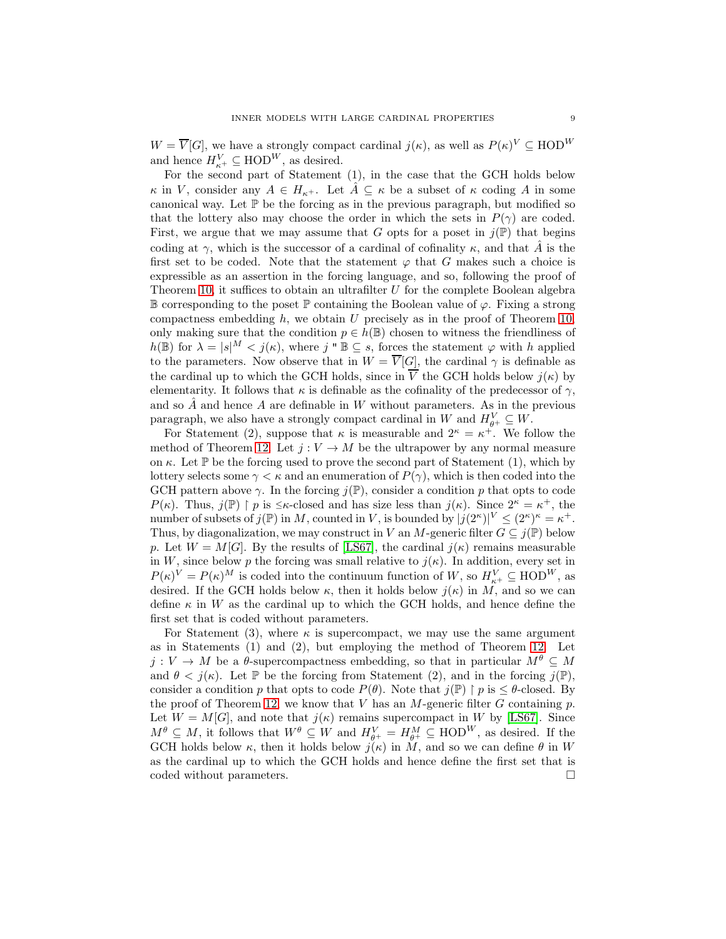$W = \overline{V}[G]$ , we have a strongly compact cardinal  $j(\kappa)$ , as well as  $P(\kappa)^V \subseteq \text{HOD}^W$ and hence  $H_{\kappa^+}^V \subseteq \text{HOD}^W$ , as desired.

For the second part of Statement (1), in the case that the GCH holds below  $\kappa$  in V, consider any  $A \in H_{\kappa^+}$ . Let  $\overline{A} \subseteq \kappa$  be a subset of  $\kappa$  coding A in some canonical way. Let  $\mathbb P$  be the forcing as in the previous paragraph, but modified so that the lottery also may choose the order in which the sets in  $P(\gamma)$  are coded. First, we argue that we may assume that G opts for a poset in  $j(\mathbb{P})$  that begins coding at  $\gamma$ , which is the successor of a cardinal of cofinality  $\kappa$ , and that  $\hat{A}$  is the first set to be coded. Note that the statement  $\varphi$  that G makes such a choice is expressible as an assertion in the forcing language, and so, following the proof of Theorem [10,](#page-4-1) it suffices to obtain an ultrafilter  $U$  for the complete Boolean algebra  $\mathbb B$  corresponding to the poset  $\mathbb P$  containing the Boolean value of  $\varphi$ . Fixing a strong compactness embedding  $h$ , we obtain  $U$  precisely as in the proof of Theorem [10,](#page-4-1) only making sure that the condition  $p \in h(\mathbb{B})$  chosen to witness the friendliness of  $h(\mathbb{B})$  for  $\lambda = |s|^M < j(\kappa)$ , where j "  $\mathbb{B} \subseteq s$ , forces the statement  $\varphi$  with h applied to the parameters. Now observe that in  $W = \overline{V}[G]$ , the cardinal  $\gamma$  is definable as the cardinal up to which the GCH holds, since in  $\overline{V}$  the GCH holds below  $j(\kappa)$  by elementarity. It follows that  $\kappa$  is definable as the cofinality of the predecessor of  $\gamma$ , and so  $\hat{A}$  and hence A are definable in W without parameters. As in the previous paragraph, we also have a strongly compact cardinal in W and  $H_{\theta^+}^V \subseteq W$ .

For Statement (2), suppose that  $\kappa$  is measurable and  $2^{\kappa} = \kappa^+$ . We follow the method of Theorem [12.](#page-6-2) Let  $j: V \to M$  be the ultrapower by any normal measure on  $\kappa$ . Let  $\mathbb P$  be the forcing used to prove the second part of Statement (1), which by lottery selects some  $\gamma < \kappa$  and an enumeration of  $P(\gamma)$ , which is then coded into the GCH pattern above  $\gamma$ . In the forcing  $j(\mathbb{P})$ , consider a condition p that opts to code  $P(\kappa)$ . Thus,  $j(\mathbb{P}) \restriction p$  is  $\leq \kappa$ -closed and has size less than  $j(\kappa)$ . Since  $2^{\kappa} = \kappa^+$ , the number of subsets of  $j(\mathbb{P})$  in M, counted in V, is bounded by  $|j(2^{\kappa})|^V \leq (2^{\kappa})^{\kappa} = \kappa^+$ . Thus, by diagonalization, we may construct in V an M-generic filter  $G \subseteq j(\mathbb{P})$  below p. Let  $W = M[G]$ . By the results of [\[LS67\]](#page-24-8), the cardinal  $j(\kappa)$  remains measurable in W, since below p the forcing was small relative to  $j(\kappa)$ . In addition, every set in  $P(\kappa)^V = P(\kappa)^M$  is coded into the continuum function of W, so  $H_{\kappa^+}^V \subseteq \text{HOD}^W$ , as desired. If the GCH holds below  $\kappa$ , then it holds below  $j(\kappa)$  in M, and so we can define  $\kappa$  in W as the cardinal up to which the GCH holds, and hence define the first set that is coded without parameters.

For Statement (3), where  $\kappa$  is supercompact, we may use the same argument as in Statements (1) and (2), but employing the method of Theorem [12.](#page-6-2) Let  $j: V \to M$  be a  $\theta$ -supercompactness embedding, so that in particular  $M^{\theta} \subseteq M$ and  $\theta < j(\kappa)$ . Let P be the forcing from Statement (2), and in the forcing  $j(\mathbb{P})$ , consider a condition p that opts to code  $P(\theta)$ . Note that  $j(\mathbb{P}) \restriction p$  is  $\leq \theta$ -closed. By the proof of Theorem [12,](#page-6-2) we know that V has an M-generic filter G containing p. Let  $W = M[G]$ , and note that  $j(\kappa)$  remains supercompact in W by [\[LS67\]](#page-24-8). Since  $M^{\theta} \subseteq M$ , it follows that  $W^{\theta} \subseteq W$  and  $H_{\theta^+}^V = H_{\theta^+}^M \subseteq \text{HOD}^W$ , as desired. If the GCH holds below  $\kappa$ , then it holds below  $j(\kappa)$  in M, and so we can define  $\theta$  in W as the cardinal up to which the GCH holds and hence define the first set that is coded without parameters.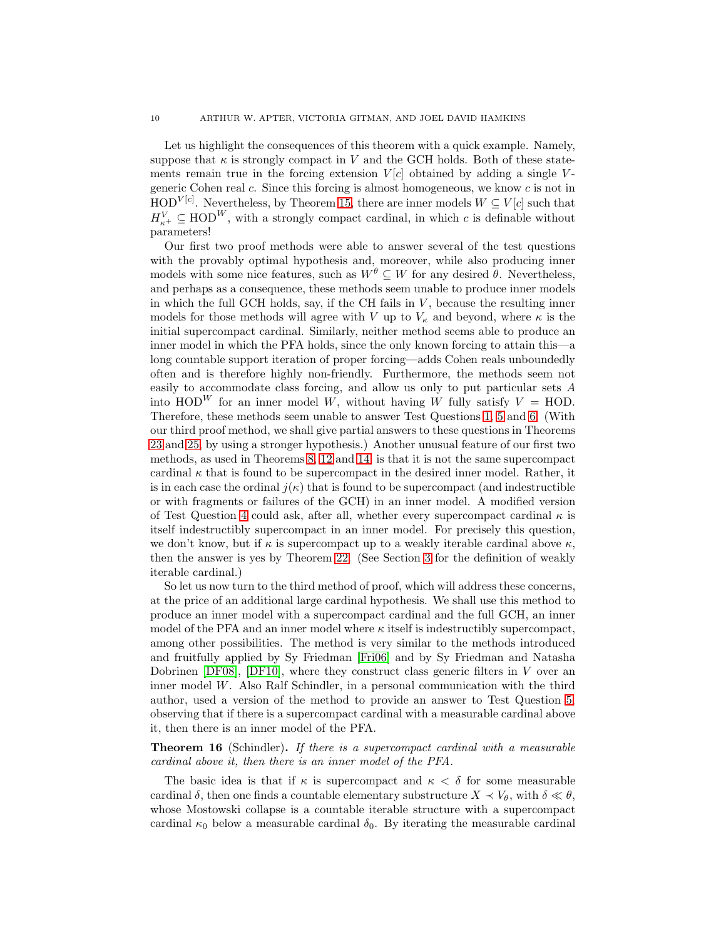Let us highlight the consequences of this theorem with a quick example. Namely, suppose that  $\kappa$  is strongly compact in V and the GCH holds. Both of these statements remain true in the forcing extension  $V[c]$  obtained by adding a single Vgeneric Cohen real c. Since this forcing is almost homogeneous, we know c is not in  $HOD<sup>V[c]</sup>$ . Nevertheless, by Theorem [15,](#page-7-0) there are inner models  $W \subseteq V[c]$  such that  $H_{\kappa^+}^V \subseteq \text{HOD}^W$ , with a strongly compact cardinal, in which c is definable without parameters!

Our first two proof methods were able to answer several of the test questions with the provably optimal hypothesis and, moreover, while also producing inner models with some nice features, such as  $W^{\theta} \subseteq W$  for any desired  $\theta$ . Nevertheless, and perhaps as a consequence, these methods seem unable to produce inner models in which the full GCH holds, say, if the CH fails in  $V$ , because the resulting inner models for those methods will agree with V up to  $V_{\kappa}$  and beyond, where  $\kappa$  is the initial supercompact cardinal. Similarly, neither method seems able to produce an inner model in which the PFA holds, since the only known forcing to attain this—a long countable support iteration of proper forcing—adds Cohen reals unboundedly often and is therefore highly non-friendly. Furthermore, the methods seem not easily to accommodate class forcing, and allow us only to put particular sets A into  $HOD^W$  for an inner model W, without having W fully satisfy  $V = HOD$ . Therefore, these methods seem unable to answer Test Questions [1,](#page-1-0) [5](#page-2-3) and [6.](#page-2-1) (With our third proof method, we shall give partial answers to these questions in Theorems [23](#page-17-0) and [25,](#page-18-0) by using a stronger hypothesis.) Another unusual feature of our first two methods, as used in Theorems [8,](#page-4-0) [12](#page-6-2) and [14,](#page-6-0) is that it is not the same supercompact cardinal  $\kappa$  that is found to be supercompact in the desired inner model. Rather, it is in each case the ordinal  $j(\kappa)$  that is found to be supercompact (and indestructible or with fragments or failures of the GCH) in an inner model. A modified version of Test Question [4](#page-2-0) could ask, after all, whether every supercompact cardinal  $\kappa$  is itself indestructibly supercompact in an inner model. For precisely this question, we don't know, but if  $\kappa$  is supercompact up to a weakly iterable cardinal above  $\kappa$ , then the answer is yes by Theorem [22.](#page-16-1) (See Section [3](#page-10-0) for the definition of weakly iterable cardinal.)

So let us now turn to the third method of proof, which will address these concerns, at the price of an additional large cardinal hypothesis. We shall use this method to produce an inner model with a supercompact cardinal and the full GCH, an inner model of the PFA and an inner model where  $\kappa$  itself is indestructibly supercompact, among other possibilities. The method is very similar to the methods introduced and fruitfully applied by Sy Friedman [\[Fri06\]](#page-24-0) and by Sy Friedman and Natasha Dobrinen  $[DF08]$ ,  $[DF10]$ , where they construct class generic filters in V over an inner model  $W$ . Also Ralf Schindler, in a personal communication with the third author, used a version of the method to provide an answer to Test Question [5,](#page-2-3) observing that if there is a supercompact cardinal with a measurable cardinal above it, then there is an inner model of the PFA.

<span id="page-9-0"></span>Theorem 16 (Schindler). *If there is a supercompact cardinal with a measurable cardinal above it, then there is an inner model of the PFA.*

The basic idea is that if  $\kappa$  is supercompact and  $\kappa < \delta$  for some measurable cardinal  $\delta$ , then one finds a countable elementary substructure  $X \prec V_{\theta}$ , with  $\delta \ll \theta$ , whose Mostowski collapse is a countable iterable structure with a supercompact cardinal  $\kappa_0$  below a measurable cardinal  $\delta_0$ . By iterating the measurable cardinal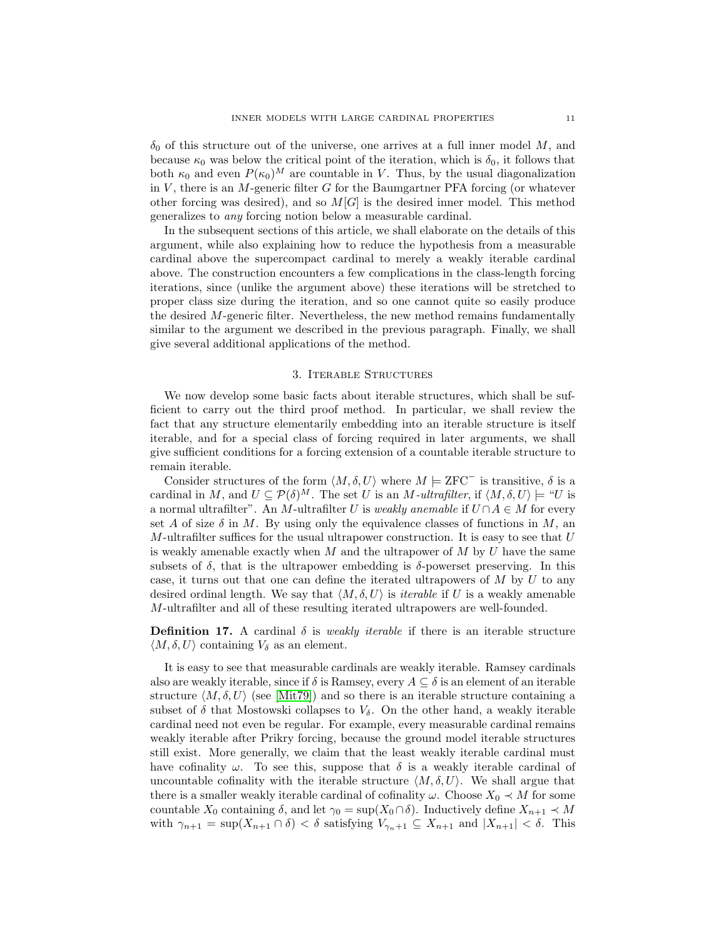$\delta_0$  of this structure out of the universe, one arrives at a full inner model M, and because  $\kappa_0$  was below the critical point of the iteration, which is  $\delta_0$ , it follows that both  $\kappa_0$  and even  $P(\kappa_0)^M$  are countable in V. Thus, by the usual diagonalization in  $V$ , there is an  $M$ -generic filter  $G$  for the Baumgartner PFA forcing (or whatever other forcing was desired), and so  $M[G]$  is the desired inner model. This method generalizes to *any* forcing notion below a measurable cardinal.

In the subsequent sections of this article, we shall elaborate on the details of this argument, while also explaining how to reduce the hypothesis from a measurable cardinal above the supercompact cardinal to merely a weakly iterable cardinal above. The construction encounters a few complications in the class-length forcing iterations, since (unlike the argument above) these iterations will be stretched to proper class size during the iteration, and so one cannot quite so easily produce the desired  $M$ -generic filter. Nevertheless, the new method remains fundamentally similar to the argument we described in the previous paragraph. Finally, we shall give several additional applications of the method.

#### 3. Iterable Structures

<span id="page-10-0"></span>We now develop some basic facts about iterable structures, which shall be sufficient to carry out the third proof method. In particular, we shall review the fact that any structure elementarily embedding into an iterable structure is itself iterable, and for a special class of forcing required in later arguments, we shall give sufficient conditions for a forcing extension of a countable iterable structure to remain iterable.

Consider structures of the form  $\langle M, \delta, U \rangle$  where  $M \models \text{ZFC}^-$  is transitive,  $\delta$  is a cardinal in M, and  $U \subseteq \mathcal{P}(\delta)^M$ . The set U is an M-ultrafilter, if  $\langle M, \delta, U \rangle \models "U$  is a normal ultrafilter". An M-ultrafilter U is *weakly anemable* if  $U \cap A \in M$  for every set A of size  $\delta$  in M. By using only the equivalence classes of functions in M, an M-ultrafilter suffices for the usual ultrapower construction. It is easy to see that  $U$ is weakly amenable exactly when  $M$  and the ultrapower of  $M$  by  $U$  have the same subsets of  $\delta$ , that is the ultrapower embedding is  $\delta$ -powerset preserving. In this case, it turns out that one can define the iterated ultrapowers of  $M$  by  $U$  to any desired ordinal length. We say that  $\langle M, \delta, U \rangle$  is *iterable* if U is a weakly amenable M-ultrafilter and all of these resulting iterated ultrapowers are well-founded.

**Definition 17.** A cardinal  $\delta$  is *weakly iterable* if there is an iterable structure  $\langle M, \delta, U \rangle$  containing  $V_{\delta}$  as an element.

It is easy to see that measurable cardinals are weakly iterable. Ramsey cardinals also are weakly iterable, since if  $\delta$  is Ramsey, every  $A \subseteq \delta$  is an element of an iterable structure  $\langle M, \delta, U \rangle$  (see [\[Mit79\]](#page-24-11)) and so there is an iterable structure containing a subset of  $\delta$  that Mostowski collapses to  $V_{\delta}$ . On the other hand, a weakly iterable cardinal need not even be regular. For example, every measurable cardinal remains weakly iterable after Prikry forcing, because the ground model iterable structures still exist. More generally, we claim that the least weakly iterable cardinal must have cofinality  $\omega$ . To see this, suppose that  $\delta$  is a weakly iterable cardinal of uncountable cofinality with the iterable structure  $\langle M, \delta, U \rangle$ . We shall argue that there is a smaller weakly iterable cardinal of cofinality  $\omega$ . Choose  $X_0 \prec M$  for some countable  $X_0$  containing  $\delta$ , and let  $\gamma_0 = \sup(X_0 \cap \delta)$ . Inductively define  $X_{n+1} \prec M$ with  $\gamma_{n+1} = \sup(X_{n+1} \cap \delta) < \delta$  satisfying  $V_{\gamma_n+1} \subseteq X_{n+1}$  and  $|X_{n+1}| < \delta$ . This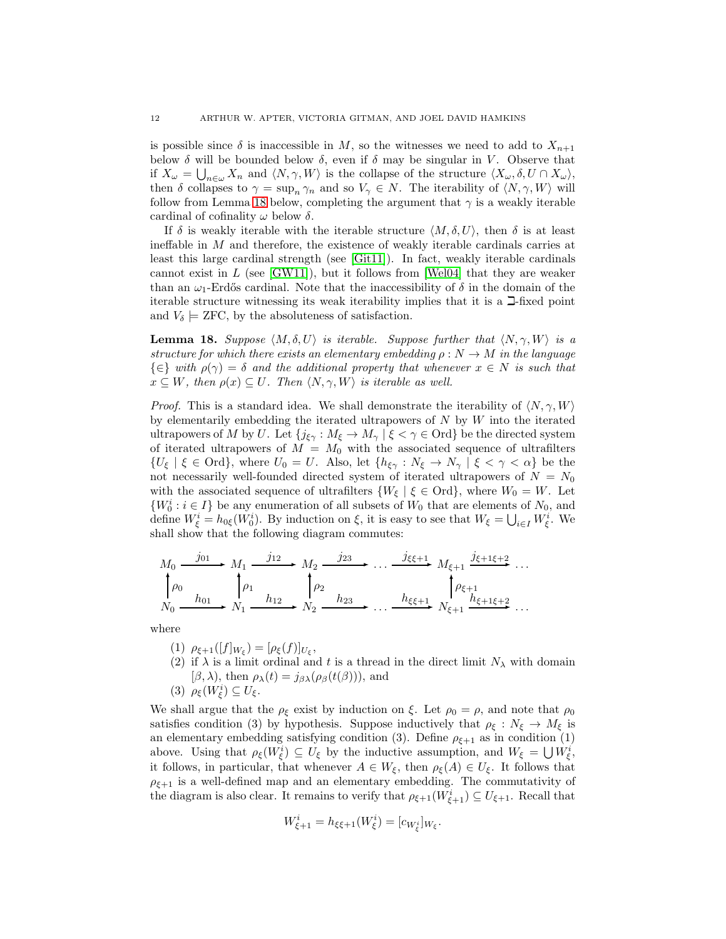is possible since  $\delta$  is inaccessible in M, so the witnesses we need to add to  $X_{n+1}$ below  $\delta$  will be bounded below  $\delta$ , even if  $\delta$  may be singular in V. Observe that if  $X_{\omega} = \bigcup_{n \in \omega} X_n$  and  $\langle N, \gamma, W \rangle$  is the collapse of the structure  $\langle X_{\omega}, \delta, U \cap X_{\omega} \rangle$ , then  $\delta$  collapses to  $\gamma = \sup_n \gamma_n$  and so  $V_\gamma \in N$ . The iterability of  $\langle N, \gamma, W \rangle$  will follow from Lemma [18](#page-11-0) below, completing the argument that  $\gamma$  is a weakly iterable cardinal of cofinality  $\omega$  below  $\delta$ .

If  $\delta$  is weakly iterable with the iterable structure  $\langle M, \delta, U \rangle$ , then  $\delta$  is at least ineffable in M and therefore, the existence of weakly iterable cardinals carries at least this large cardinal strength (see [\[Git11\]](#page-24-12)). In fact, weakly iterable cardinals cannot exist in  $L$  (see [\[GW11\]](#page-24-13)), but it follows from [\[Wel04\]](#page-24-14) that they are weaker than an  $\omega_1$ -Erdős cardinal. Note that the inaccessibility of  $\delta$  in the domain of the iterable structure witnessing its weak iterability implies that it is a  $\Box$ -fixed point and  $V_{\delta} \models$  ZFC, by the absoluteness of satisfaction.

<span id="page-11-0"></span>**Lemma 18.** Suppose  $\langle M, \delta, U \rangle$  is iterable. Suppose further that  $\langle N, \gamma, W \rangle$  is a *structure for which there exists an elementary embedding*  $\rho : N \to M$  *in the language*  $\{\in\}$  *with*  $\rho(\gamma) = \delta$  *and the additional property that whenever*  $x \in N$  *is such that*  $x \subseteq W$ , then  $\rho(x) \subseteq U$ . Then  $\langle N, \gamma, W \rangle$  is iterable as well.

*Proof.* This is a standard idea. We shall demonstrate the iterability of  $\langle N, \gamma, W \rangle$ by elementarily embedding the iterated ultrapowers of  $N$  by  $W$  into the iterated ultrapowers of M by U. Let  $\{j_{\xi\gamma}: M_{\xi} \to M_{\gamma} \mid \xi < \gamma \in \text{Ord}\}$  be the directed system of iterated ultrapowers of  $M = M_0$  with the associated sequence of ultrafilters  ${U_{\xi} | \xi \in \text{Ord}}$ , where  $U_0 = U$ . Also, let  ${h_{\xi\gamma} : N_{\xi} \to N_{\gamma} | \xi < \gamma < \alpha}$  be the not necessarily well-founded directed system of iterated ultrapowers of  $N = N_0$ with the associated sequence of ultrafilters  $\{W_{\xi} \mid \xi \in \text{Ord}\},\$  where  $W_0 = W$ . Let  $\{W_0^i : i \in I\}$  be any enumeration of all subsets of  $W_0$  that are elements of  $N_0$ , and define  $W_{\xi}^{i} = h_{0\xi}(W_{0}^{i})$ . By induction on  $\xi$ , it is easy to see that  $W_{\xi} = \bigcup_{i \in I} W_{\xi}^{i}$ . We shall show that the following diagram commutes:

$$
M_0 \xrightarrow{j_{01}} M_1 \xrightarrow{j_{12}} M_2 \xrightarrow{j_{23}} \dots \xrightarrow{j_{\xi\xi+1}} M_{\xi+1} \xrightarrow{j_{\xi+1\xi+2}} \dots
$$
  
\n
$$
\downarrow \rho_0
$$
  
\n
$$
N_0 \xrightarrow{h_{01}} N_1 \xrightarrow{h_{12}} N_2 \xrightarrow{h_{23}} \dots \xrightarrow{h_{\xi\xi+1}} N_{\xi+1} \xrightarrow{h_{\xi+1\xi+2}} \dots
$$

where

- (1)  $\rho_{\xi+1}([f]_{W_{\xi}}) = [\rho_{\xi}(f)]_{U_{\xi}},$
- (2) if  $\lambda$  is a limit ordinal and t is a thread in the direct limit  $N_{\lambda}$  with domain  $[\beta, \lambda)$ , then  $\rho_{\lambda}(t) = j_{\beta\lambda}(\rho_{\beta}(t(\beta)))$ , and

(3)  $\rho_{\xi}(W_{\xi}^i) \subseteq U_{\xi}$ .

We shall argue that the  $\rho_{\xi}$  exist by induction on  $\xi$ . Let  $\rho_0 = \rho$ , and note that  $\rho_0$ satisfies condition (3) by hypothesis. Suppose inductively that  $\rho_{\xi}: N_{\xi} \to M_{\xi}$  is an elementary embedding satisfying condition (3). Define  $\rho_{\xi+1}$  as in condition (1) above. Using that  $\rho_{\xi}(W_{\xi}^{i}) \subseteq U_{\xi}$  by the inductive assumption, and  $W_{\xi} = \bigcup W_{\xi}^{i}$ , it follows, in particular, that whenever  $A \in W_{\xi}$ , then  $\rho_{\xi}(A) \in U_{\xi}$ . It follows that  $\rho_{\xi+1}$  is a well-defined map and an elementary embedding. The commutativity of the diagram is also clear. It remains to verify that  $\rho_{\xi+1}(W_{\xi+1}^i) \subseteq U_{\xi+1}$ . Recall that

$$
W_{\xi+1}^i = h_{\xi\xi+1}(W_{\xi}^i) = [c_{W_{\xi}^i}]_{W_{\xi}}.
$$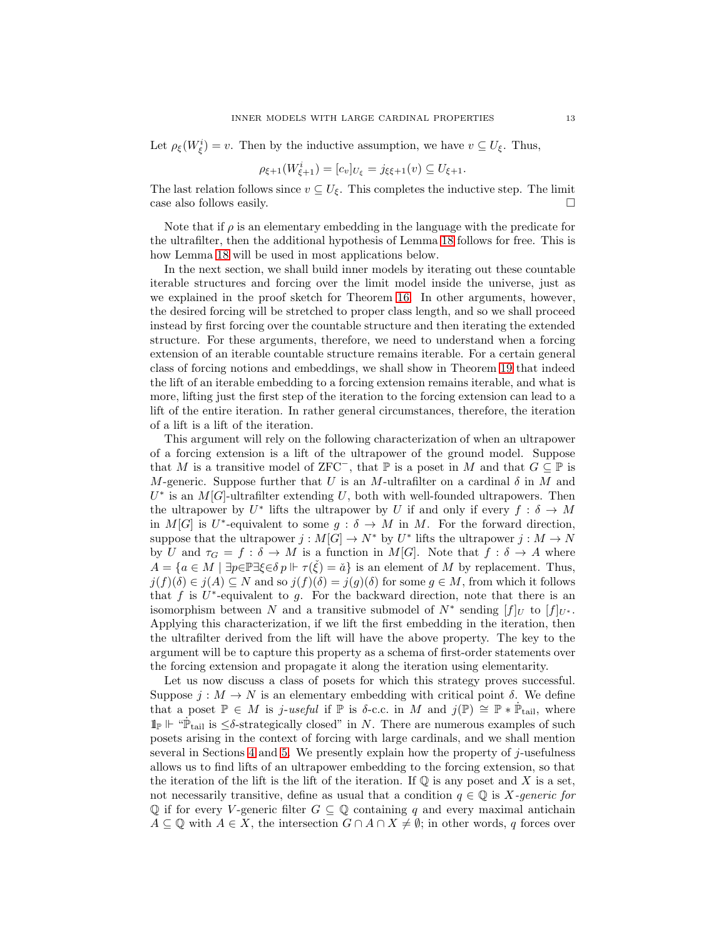Let  $\rho_{\xi}(W_{\xi}^{i})=v$ . Then by the inductive assumption, we have  $v \subseteq U_{\xi}$ . Thus,

$$
\rho_{\xi+1}(W^i_{\xi+1}) = [c_v]_{U_{\xi}} = j_{\xi\xi+1}(v) \subseteq U_{\xi+1}.
$$

The last relation follows since  $v \subseteq U_{\xi}$ . This completes the inductive step. The limit case also follows easily.

Note that if  $\rho$  is an elementary embedding in the language with the predicate for the ultrafilter, then the additional hypothesis of Lemma [18](#page-11-0) follows for free. This is how Lemma [18](#page-11-0) will be used in most applications below.

In the next section, we shall build inner models by iterating out these countable iterable structures and forcing over the limit model inside the universe, just as we explained in the proof sketch for Theorem [16.](#page-9-0) In other arguments, however, the desired forcing will be stretched to proper class length, and so we shall proceed instead by first forcing over the countable structure and then iterating the extended structure. For these arguments, therefore, we need to understand when a forcing extension of an iterable countable structure remains iterable. For a certain general class of forcing notions and embeddings, we shall show in Theorem [19](#page-13-0) that indeed the lift of an iterable embedding to a forcing extension remains iterable, and what is more, lifting just the first step of the iteration to the forcing extension can lead to a lift of the entire iteration. In rather general circumstances, therefore, the iteration of a lift is a lift of the iteration.

This argument will rely on the following characterization of when an ultrapower of a forcing extension is a lift of the ultrapower of the ground model. Suppose that M is a transitive model of ZFC<sup>-</sup>, that  $\mathbb P$  is a poset in M and that  $G \subseteq \mathbb P$  is M-generic. Suppose further that U is an M-ultrafilter on a cardinal  $\delta$  in M and  $U^*$  is an  $M[G]$ -ultrafilter extending U, both with well-founded ultrapowers. Then the ultrapower by  $U^*$  lifts the ultrapower by U if and only if every  $f : \delta \to M$ in  $M[G]$  is U<sup>\*</sup>-equivalent to some  $g : \delta \to M$  in M. For the forward direction, suppose that the ultrapower  $j: M[G] \to N^*$  by  $U^*$  lifts the ultrapower  $j: M \to N$ by U and  $\tau_G = f : \delta \to M$  is a function in  $M[G]$ . Note that  $f : \delta \to A$  where  $A = \{a \in M \mid \exists p \in \mathbb{P} \exists \xi \in \delta p \Vdash \tau(\check{\xi}) = \check{a}\}\$ is an element of M by replacement. Thus,  $j(f)(\delta) \in j(A) \subseteq N$  and so  $j(f)(\delta) = j(g)(\delta)$  for some  $g \in M$ , from which it follows that  $f$  is  $U^*$ -equivalent to  $g$ . For the backward direction, note that there is an isomorphism between N and a transitive submodel of  $N^*$  sending  $[f]_U$  to  $[f]_{U^*}$ . Applying this characterization, if we lift the first embedding in the iteration, then the ultrafilter derived from the lift will have the above property. The key to the argument will be to capture this property as a schema of first-order statements over the forcing extension and propagate it along the iteration using elementarity.

Let us now discuss a class of posets for which this strategy proves successful. Suppose  $j : M \to N$  is an elementary embedding with critical point  $\delta$ . We define that a poset  $\mathbb{P} \in M$  is *j-useful* if  $\mathbb{P}$  is δ-c.c. in M and  $j(\mathbb{P}) \cong \mathbb{P} * \dot{\mathbb{P}}_{\text{tail}}$ , where  $\mathbb{1}_{\mathbb{P}} \Vdash \text{``}\dot{\mathbb{P}}_{\text{tail}}$  is  $\leq \delta$ -strategically closed" in N. There are numerous examples of such posets arising in the context of forcing with large cardinals, and we shall mention several in Sections [4](#page-16-0) and [5.](#page-21-0) We presently explain how the property of  $j$ -usefulness allows us to find lifts of an ultrapower embedding to the forcing extension, so that the iteration of the lift is the lift of the iteration. If  $\mathbb Q$  is any poset and X is a set, not necessarily transitive, define as usual that a condition  $q \in \mathbb{Q}$  is X-generic for  $\mathbb Q$  if for every V-generic filter  $G \subseteq \mathbb Q$  containing q and every maximal antichain  $A \subseteq \mathbb{Q}$  with  $A \in X$ , the intersection  $G \cap A \cap X \neq \emptyset$ ; in other words, q forces over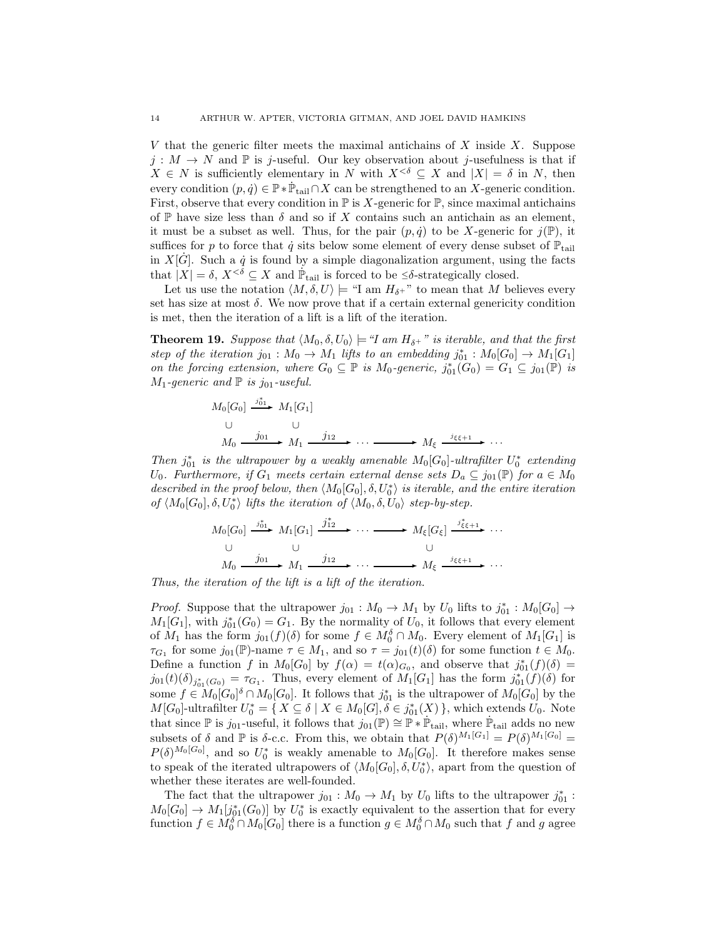V that the generic filter meets the maximal antichains of X inside  $X$ . Suppose  $j : M \to N$  and  $\mathbb P$  is j-useful. Our key observation about j-usefulness is that if  $X \in N$  is sufficiently elementary in N with  $X^{\leq \delta} \subseteq X$  and  $|X| = \delta$  in N, then every condition  $(p, \dot{q}) \in \mathbb{P} * \dot{\mathbb{P}}_{\text{tail}} \cap X$  can be strengthened to an X-generic condition. First, observe that every condition in  $\mathbb P$  is X-generic for  $\mathbb P$ , since maximal antichains of P have size less than  $\delta$  and so if X contains such an antichain as an element, it must be a subset as well. Thus, for the pair  $(p, \dot{q})$  to be X-generic for  $j(\mathbb{P})$ , it suffices for p to force that  $\dot{q}$  sits below some element of every dense subset of  $\mathbb{P}_{\text{tail}}$ in  $X[\dot{G}]$ . Such a  $\dot{q}$  is found by a simple diagonalization argument, using the facts that  $|X| = \delta$ ,  $X^{\leq \delta} \subseteq X$  and  $\mathbb{P}_{\text{tail}}$  is forced to be  $\leq \delta$ -strategically closed.

Let us use the notation  $\langle M, \delta, U \rangle \models$  "I am  $H_{\delta^+}$ " to mean that M believes every set has size at most  $\delta$ . We now prove that if a certain external genericity condition is met, then the iteration of a lift is a lift of the iteration.

<span id="page-13-0"></span>**Theorem 19.** *Suppose that*  $\langle M_0, \delta, U_0 \rangle \models \text{``I am } H_{\delta^+}$  " *is iterable, and that the first* step of the iteration  $j_{01}: M_0 \to M_1$  lifts to an embedding  $j_{01}^* : M_0[G_0] \to M_1[G_1]$ *on the forcing extension, where*  $G_0 \subseteq \mathbb{P}$  *is*  $M_0$ -generic,  $j_{01}^*(G_0) = G_1 \subseteq j_{01}(\mathbb{P})$  *is*  $M_1$ *-generic and*  $\mathbb P$  *is j*<sub>01</sub>*-useful.* 

$$
M_0[G_0] \xrightarrow{j_{01}^*} M_1[G_1]
$$
  
\n
$$
M_0 \xrightarrow{j_{01}} M_1 \xrightarrow{j_{12}} \cdots \xrightarrow{j_{\xi\xi+1}} M_{\xi} \xrightarrow{j_{\xi\xi+1}} \cdots
$$

*Then*  $j_{01}^*$  is the ultrapower by a weakly amenable  $M_0[G_0]$ -ultrafilter  $U_0^*$  extending U<sub>0</sub>. Furthermore, if  $G_1$  meets certain external dense sets  $D_a \subseteq j_{01}(\mathbb{P})$  for  $a \in M_0$ described in the proof below, then  $\langle M_0[G_0], \delta, U_0^* \rangle$  is iterable, and the entire iteration  $of \langle M_0[G_0], \delta, U_0^* \rangle$  lifts the iteration of  $\langle M_0, \delta, U_0 \rangle$  step-by-step.

$$
M_0[G_0] \xrightarrow{j_{01}^*} M_1[G_1] \xrightarrow{j_{12}^*} \cdots \longrightarrow M_{\xi}[G_{\xi}] \xrightarrow{j_{\xi\xi+1}^*} \cdots
$$
  
\n
$$
M_0 \xrightarrow{j_{01}} M_1 \xrightarrow{j_{12}} \cdots \longrightarrow M_{\xi} \xrightarrow{j_{\xi\xi+1}} \cdots
$$

*Thus, the iteration of the lift is a lift of the iteration.*

*Proof.* Suppose that the ultrapower  $j_{01} : M_0 \to M_1$  by  $U_0$  lifts to  $j_{01}^* : M_0[G_0] \to$  $M_1[G_1]$ , with  $j_{01}^*(G_0) = G_1$ . By the normality of  $U_0$ , it follows that every element of  $M_1$  has the form  $j_{01}(f)(\delta)$  for some  $f \in M_0^{\delta} \cap M_0$ . Every element of  $M_1[G_1]$  is  $\tau_{G_1}$  for some  $j_{01}(\mathbb{P})$ -name  $\tau \in M_1$ , and so  $\tau = j_{01}(t)(\delta)$  for some function  $t \in M_0$ . Define a function f in  $M_0[G_0]$  by  $f(\alpha) = t(\alpha)_{G_0}$ , and observe that  $j_{01}^*(f)(\delta) =$  $j_{01}(t)(\delta)_{j_{01}^*(G_0)} = \tau_{G_1}$ . Thus, every element of  $M_1[G_1]$  has the form  $j_{01}^*(f)(\delta)$  for some  $f \in M_0[G_0]^{\delta} \cap M_0[G_0]$ . It follows that  $j_{01}^*$  is the ultrapower of  $M_0[G_0]$  by the  $M[G_0]$ -ultrafilter  $U_0^* = \{ X \subseteq \delta \mid X \in M_0[G], \delta \in j_{01}^*(X) \}$ , which extends  $U_0$ . Note that since  $\mathbb P$  is j<sub>01</sub>-useful, it follows that  $j_{01}(\mathbb P) \cong \mathbb P * \dot{\mathbb P}_{\text{tail}}$ , where  $\dot{\mathbb P}_{\text{tail}}$  adds no new subsets of  $\delta$  and  $\mathbb P$  is  $\delta$ -c.c. From this, we obtain that  $P(\delta)^{M_1[G_1]} = P(\delta)^{M_1[G_0]} =$  $P(\delta)^{M_0[G_0]}$ , and so  $U_0^*$  is weakly amenable to  $M_0[G_0]$ . It therefore makes sense to speak of the iterated ultrapowers of  $\langle M_0[G_0], \delta, U_0^* \rangle$ , apart from the question of whether these iterates are well-founded.

The fact that the ultrapower  $j_{01}: M_0 \to M_1$  by  $U_0$  lifts to the ultrapower  $j_{01}^*$ :  $M_0[G_0] \to M_1[j^*_{01}(G_0)]$  by  $U^*_0$  is exactly equivalent to the assertion that for every function  $f \in M_0^{\delta} \cap M_0[G_0]$  there is a function  $g \in M_0^{\delta} \cap M_0$  such that f and g agree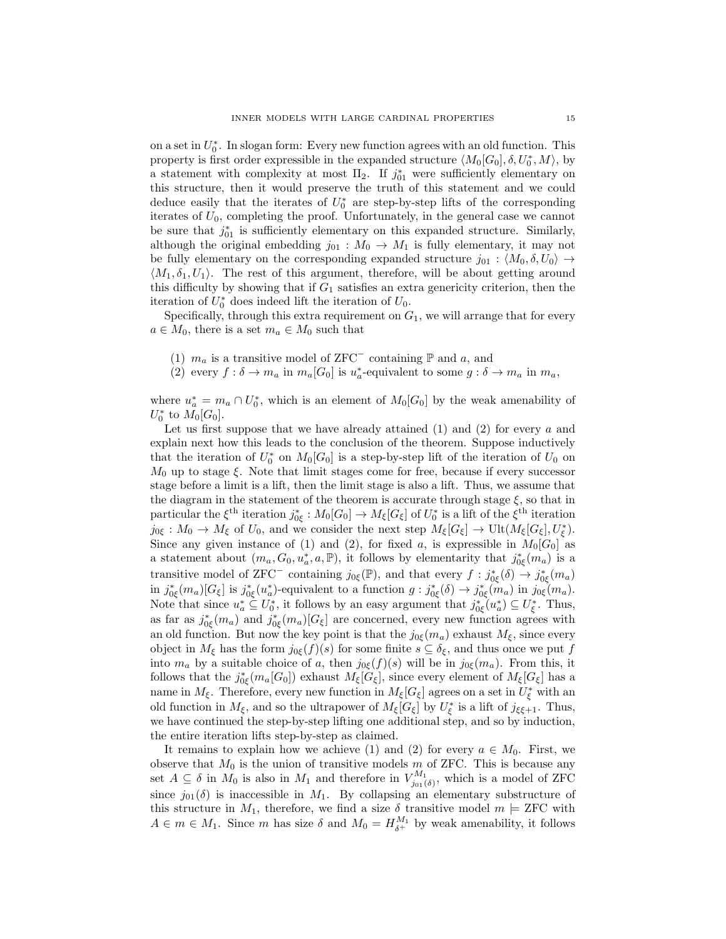on a set in  $U_0^*$ . In slogan form: Every new function agrees with an old function. This property is first order expressible in the expanded structure  $\langle M_0[G_0], \delta, U_0^*, M \rangle$ , by a statement with complexity at most  $\Pi_2$ . If  $j_{01}^*$  were sufficiently elementary on this structure, then it would preserve the truth of this statement and we could deduce easily that the iterates of  $U_0^*$  are step-by-step lifts of the corresponding iterates of  $U_0$ , completing the proof. Unfortunately, in the general case we cannot be sure that  $j_{01}^*$  is sufficiently elementary on this expanded structure. Similarly, although the original embedding  $j_{01}$ :  $M_0 \rightarrow M_1$  is fully elementary, it may not be fully elementary on the corresponding expanded structure  $j_{01} : \langle M_0, \delta, U_0 \rangle \rightarrow$  $\langle M_1, \delta_1, U_1 \rangle$ . The rest of this argument, therefore, will be about getting around this difficulty by showing that if  $G_1$  satisfies an extra genericity criterion, then the iteration of  $U_0^*$  does indeed lift the iteration of  $U_0$ .

Specifically, through this extra requirement on  $G_1$ , we will arrange that for every  $a \in M_0$ , there is a set  $m_a \in M_0$  such that

- (1)  $m_a$  is a transitive model of ZFC<sup>−</sup> containing  $\mathbb P$  and a, and
- (2) every  $f : \delta \to m_a$  in  $m_a[G_0]$  is  $u_a^*$ -equivalent to some  $g : \delta \to m_a$  in  $m_a$ ,

where  $u_a^* = m_a \cap U_0^*$ , which is an element of  $M_0[G_0]$  by the weak amenability of  $U_0^*$  to  $M_0[G_0]$ .

Let us first suppose that we have already attained  $(1)$  and  $(2)$  for every a and explain next how this leads to the conclusion of the theorem. Suppose inductively that the iteration of  $U_0^*$  on  $M_0[G_0]$  is a step-by-step lift of the iteration of  $U_0$  on  $M_0$  up to stage  $\xi$ . Note that limit stages come for free, because if every successor stage before a limit is a lift, then the limit stage is also a lift. Thus, we assume that the diagram in the statement of the theorem is accurate through stage  $\xi$ , so that in particular the  $\xi^{\text{th}}$  iteration  $j^*_{0\xi}: M_0[G_0] \to M_{\xi}[G_{\xi}]$  of  $U_0^*$  is a lift of the  $\xi^{\text{th}}$  iteration  $j_{0\xi}: M_0 \to M_{\xi}$  of  $U_0$ , and we consider the next step  $M_{\xi}[G_{\xi}] \to \text{Ult}(M_{\xi}[G_{\xi}], U_{\xi}^*).$ Since any given instance of (1) and (2), for fixed a, is expressible in  $M_0[G_0]$  as a statement about  $(m_a, G_0, u_a^*, a, \mathbb{P})$ , it follows by elementarity that  $j^*_{0\xi}(m_a)$  is a transitive model of ZFC<sup>-</sup> containing  $j_{0\xi}(\mathbb{P})$ , and that every  $f : j^*_{0\xi}(\delta) \to j^*_{0\xi}(m_a)$ in  $j_{0\xi}^*(m_a)[G_{\xi}]$  is  $j_{0\xi}^*(u_a^*)$ -equivalent to a function  $g: j_{0\xi}^*(\delta) \to j_{0\xi}^*(m_a)$  in  $j_{0\xi}(m_a)$ . Note that since  $u_a^* \nsubseteq U_0^*$ , it follows by an easy argument that  $j_{0\xi}^*(u_a^*) \nsubseteq U_{\xi}^*$ . Thus, as far as  $j_{0\xi}^*(m_a)$  and  $j_{0\xi}^*(m_a)[G_{\xi}]$  are concerned, every new function agrees with an old function. But now the key point is that the  $j_{0\xi}(m_a)$  exhaust  $M_{\xi}$ , since every object in  $M_{\xi}$  has the form  $j_{0\xi}(f)(s)$  for some finite  $s \subseteq \delta_{\xi}$ , and thus once we put f into  $m_a$  by a suitable choice of a, then  $j_{0\xi}(f)(s)$  will be in  $j_{0\xi}(m_a)$ . From this, it follows that the  $j_{0\xi}^*(m_a[G_0])$  exhaust  $M_{\xi}[G_{\xi}]$ , since every element of  $M_{\xi}[G_{\xi}]$  has a name in  $M_{\xi}$ . Therefore, every new function in  $M_{\xi}[G_{\xi}]$  agrees on a set in  $U_{\xi}^*$  with an old function in  $M_{\xi}$ , and so the ultrapower of  $M_{\xi}[G_{\xi}]$  by  $U_{\xi}^{*}$  is a lift of  $j_{\xi\xi+1}$ . Thus, we have continued the step-by-step lifting one additional step, and so by induction, the entire iteration lifts step-by-step as claimed.

It remains to explain how we achieve (1) and (2) for every  $a \in M_0$ . First, we observe that  $M_0$  is the union of transitive models  $m$  of ZFC. This is because any set  $A \subseteq \delta$  in  $M_0$  is also in  $M_1$  and therefore in  $V_{j_{01}(\delta)}^{M_1}$ , which is a model of ZFC since  $j_{01}(\delta)$  is inaccessible in  $M_1$ . By collapsing an elementary substructure of this structure in  $M_1$ , therefore, we find a size  $\delta$  transitive model  $m \models$  ZFC with  $A \in m \in M_1$ . Since m has size  $\delta$  and  $M_0 = H_{\delta^+}^{M_1}$  by weak amenability, it follows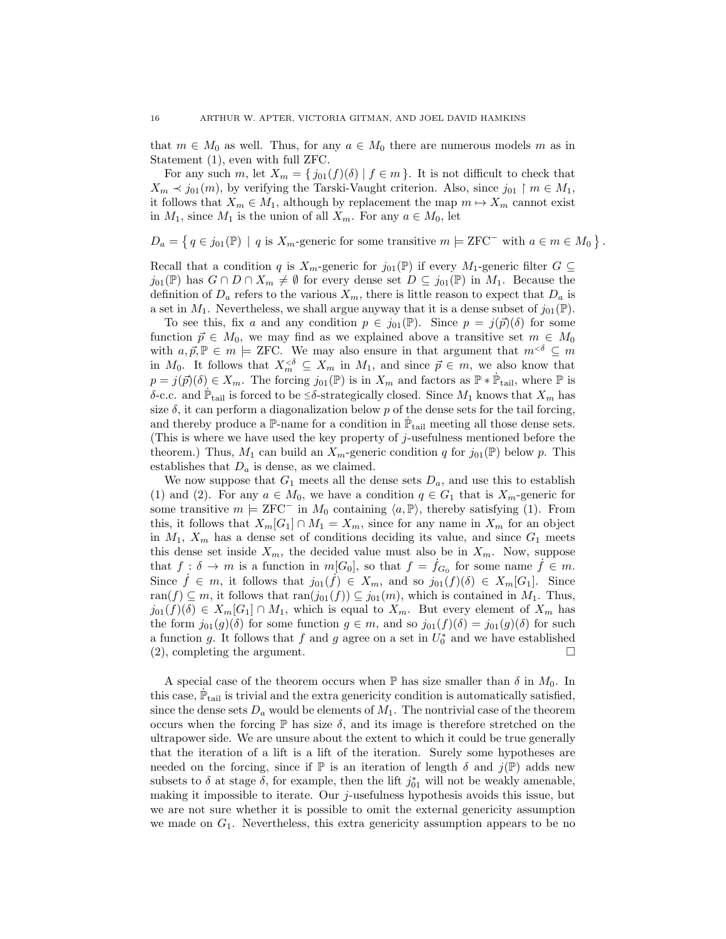that  $m \in M_0$  as well. Thus, for any  $a \in M_0$  there are numerous models m as in Statement (1), even with full ZFC.

For any such m, let  $X_m = \{ j_{01}(f)(\delta) \mid f \in m \}$ . It is not difficult to check that  $X_m \prec j_{01}(m)$ , by verifying the Tarski-Vaught criterion. Also, since  $j_{01} \restriction m \in M_1$ , it follows that  $X_m \in M_1$ , although by replacement the map  $m \mapsto X_m$  cannot exist in  $M_1$ , since  $M_1$  is the union of all  $X_m$ . For any  $a \in M_0$ , let

 $D_a = \{ q \in j_{01}(\mathbb{P}) \mid q \text{ is } X_m\text{-generic for some transitive } m \models \text{ZFC}^- \text{ with } a \in m \in M_0 \}.$ 

Recall that a condition q is  $X_m$ -generic for  $j_{01}(\mathbb{P})$  if every  $M_1$ -generic filter  $G \subseteq$  $j_{01}(\mathbb{P})$  has  $G \cap D \cap X_m \neq \emptyset$  for every dense set  $D \subseteq j_{01}(\mathbb{P})$  in  $M_1$ . Because the definition of  $D_a$  refers to the various  $X_m$ , there is little reason to expect that  $D_a$  is a set in  $M_1$ . Nevertheless, we shall argue anyway that it is a dense subset of  $j_{01}(\mathbb{P})$ .

To see this, fix a and any condition  $p \in j_{01}(\mathbb{P})$ . Since  $p = j(\vec{p})(\delta)$  for some function  $\vec{p} \in M_0$ , we may find as we explained above a transitive set  $m \in M_0$ with  $a, \vec{p}, \mathbb{P} \in m \models \text{ZFC}$ . We may also ensure in that argument that  $m^{<\delta} \subseteq m$ in  $M_0$ . It follows that  $X_m^{<\delta} \subseteq X_m$  in  $M_1$ , and since  $\vec{p} \in m$ , we also know that  $p = j(\vec{p})(\delta) \in X_m$ . The forcing  $j_{01}(\mathbb{P})$  is in  $X_m$  and factors as  $\mathbb{P} * \dot{\mathbb{P}}_{\text{tail}}$ , where  $\mathbb P$  is δ-c.c. and  $\dot{\mathbb{P}}_{tail}$  is forced to be  $\leq \delta$ -strategically closed. Since  $M_1$  knows that  $X_m$  has size  $\delta$ , it can perform a diagonalization below p of the dense sets for the tail forcing, and thereby produce a  $\mathbb P$ -name for a condition in  $\dot{\mathbb P}_{\text{tail}}$  meeting all those dense sets. (This is where we have used the key property of  $j$ -usefulness mentioned before the theorem.) Thus,  $M_1$  can build an  $X_m$ -generic condition q for  $j_{01}(\mathbb{P})$  below p. This establishes that  $D_a$  is dense, as we claimed.

We now suppose that  $G_1$  meets all the dense sets  $D_a$ , and use this to establish (1) and (2). For any  $a \in M_0$ , we have a condition  $q \in G_1$  that is  $X_m$ -generic for some transitive  $m \models \text{ZFC}^-$  in  $M_0$  containing  $\langle a, \mathbb{P} \rangle$ , thereby satisfying (1). From this, it follows that  $X_m[G_1] \cap M_1 = X_m$ , since for any name in  $X_m$  for an object in  $M_1$ ,  $X_m$  has a dense set of conditions deciding its value, and since  $G_1$  meets this dense set inside  $X_m$ , the decided value must also be in  $X_m$ . Now, suppose that  $f: \delta \to m$  is a function in  $m[G_0]$ , so that  $f = \dot{f}_{G_0}$  for some name  $\dot{f} \in m$ . Since  $\dot{f} \in m$ , it follows that  $j_{01}(\dot{f}) \in X_m$ , and so  $j_{01}(f)(\delta) \in X_m[G_1]$ . Since ran(f)  $\subseteq m$ , it follows that ran(j<sub>01</sub>(f))  $\subseteq j_{01}(m)$ , which is contained in  $M_1$ . Thus,  $j_{01}(f)(\delta) \in X_m[G_1] \cap M_1$ , which is equal to  $X_m$ . But every element of  $X_m$  has the form  $j_{01}(g)(\delta)$  for some function  $g \in m$ , and so  $j_{01}(f)(\delta) = j_{01}(g)(\delta)$  for such a function g. It follows that  $f$  and  $g$  agree on a set in  $U_0^*$  and we have established  $(2)$ , completing the argument.

A special case of the theorem occurs when  $\mathbb P$  has size smaller than  $\delta$  in  $M_0$ . In this case,  $\dot{\mathbb{P}}_{\text{tail}}$  is trivial and the extra genericity condition is automatically satisfied, since the dense sets  $D_a$  would be elements of  $M_1$ . The nontrivial case of the theorem occurs when the forcing  $\mathbb P$  has size  $\delta$ , and its image is therefore stretched on the ultrapower side. We are unsure about the extent to which it could be true generally that the iteration of a lift is a lift of the iteration. Surely some hypotheses are needed on the forcing, since if  $\mathbb P$  is an iteration of length  $\delta$  and  $j(\mathbb P)$  adds new subsets to  $\delta$  at stage  $\delta$ , for example, then the lift  $j_{01}^*$  will not be weakly amenable, making it impossible to iterate. Our j-usefulness hypothesis avoids this issue, but we are not sure whether it is possible to omit the external genericity assumption we made on  $G_1$ . Nevertheless, this extra genericity assumption appears to be no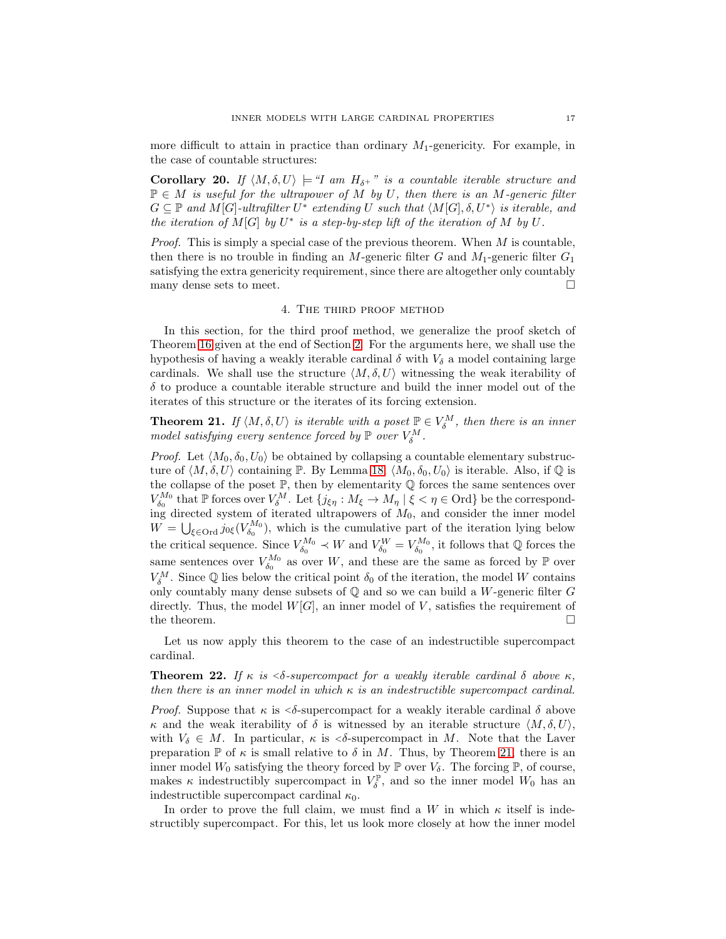more difficult to attain in practice than ordinary  $M_1$ -genericity. For example, in the case of countable structures:

<span id="page-16-3"></span>Corollary 20. If  $\langle M, \delta, U \rangle \models "I \text{ am } H_{\delta^+}$ " is a countable iterable structure and P ∈ M *is useful for the ultrapower of* M *by* U*, then there is an* M*-generic filter*  $G \subseteq \mathbb{P}$  and  $M[G]$ -ultrafilter  $U^*$  extending U such that  $\langle M[G], \delta, U^* \rangle$  is iterable, and *the iteration of*  $M[G]$  *by*  $U^*$  *is a step-by-step lift of the iteration of*  $M$  *by*  $U$ *.* 

*Proof.* This is simply a special case of the previous theorem. When M is countable, then there is no trouble in finding an M-generic filter G and  $M_1$ -generic filter  $G_1$ satisfying the extra genericity requirement, since there are altogether only countably many dense sets to meet.  $\Box$ 

#### 4. The third proof method

<span id="page-16-0"></span>In this section, for the third proof method, we generalize the proof sketch of Theorem [16](#page-9-0) given at the end of Section [2.](#page-3-0) For the arguments here, we shall use the hypothesis of having a weakly iterable cardinal  $\delta$  with  $V_{\delta}$  a model containing large cardinals. We shall use the structure  $\langle M, \delta, U \rangle$  witnessing the weak iterability of  $\delta$  to produce a countable iterable structure and build the inner model out of the iterates of this structure or the iterates of its forcing extension.

<span id="page-16-2"></span>**Theorem 21.** If  $\langle M, \delta, U \rangle$  is iterable with a poset  $\mathbb{P} \in V_{\delta}^M$ , then there is an inner *model satisfying every sentence forced by*  $\mathbb{P}$  *over*  $V_{\delta}^M$ .

*Proof.* Let  $\langle M_0, \delta_0, U_0 \rangle$  be obtained by collapsing a countable elementary substructure of  $\langle M, \delta, U \rangle$  containing P. By Lemma [18,](#page-11-0)  $\langle M_0, \delta_0, U_0 \rangle$  is iterable. Also, if  $\mathbb Q$  is the collapse of the poset  $\mathbb{P}$ , then by elementarity  $\mathbb Q$  forces the same sentences over  $V_{\delta_0}^{M_0}$  that  $\mathbb P$  forces over  $V_{\delta}^M$ . Let  $\{j_{\xi\eta}:M_{\xi}\to M_{\eta}\mid \xi<\eta\in\mathcal O\mathrm{rd}\}\$  be the corresponding directed system of iterated ultrapowers of  $M_0$ , and consider the inner model  $W = \bigcup_{\xi \in \text{Ord}} j_{0\xi}(V_{\delta_0}^{M_0}),$  which is the cumulative part of the iteration lying below the critical sequence. Since  $V_{\delta_0}^{M_0} \prec W$  and  $V_{\delta_0}^{W} = V_{\delta_0}^{M_0}$ , it follows that Q forces the same sentences over  $V_{\delta_0}^{M_0}$  as over W, and these are the same as forced by  $\mathbb P$  over  $V_{\delta}^M$ . Since Q lies below the critical point  $\delta_0$  of the iteration, the model W contains only countably many dense subsets of  $\mathbb Q$  and so we can build a W-generic filter  $G$ directly. Thus, the model  $W[G]$ , an inner model of V, satisfies the requirement of the theorem.  $\hfill \square$ 

Let us now apply this theorem to the case of an indestructible supercompact cardinal.

<span id="page-16-1"></span>**Theorem 22.** *If*  $\kappa$  *is*  $\langle \delta$ -supercompact for a weakly iterable cardinal  $\delta$  *above*  $\kappa$ *, then there is an inner model in which* κ *is an indestructible supercompact cardinal.*

*Proof.* Suppose that  $\kappa$  is  $\langle \delta$ -supercompact for a weakly iterable cardinal  $\delta$  above κ and the weak iterability of δ is witnessed by an iterable structure  $\langle M, \delta, U \rangle$ , with  $V_{\delta} \in M$ . In particular,  $\kappa$  is  $\delta$ -supercompact in M. Note that the Laver preparation  $\mathbb P$  of  $\kappa$  is small relative to  $\delta$  in M. Thus, by Theorem [21,](#page-16-2) there is an inner model  $W_0$  satisfying the theory forced by  $\mathbb P$  over  $V_\delta$ . The forcing  $\mathbb P$ , of course, makes  $\kappa$  indestructibly supercompact in  $V_{\delta}^{\mathbb{P}}$ , and so the inner model  $W_0$  has an indestructible supercompact cardinal  $\kappa_0$ .

In order to prove the full claim, we must find a W in which  $\kappa$  itself is indestructibly supercompact. For this, let us look more closely at how the inner model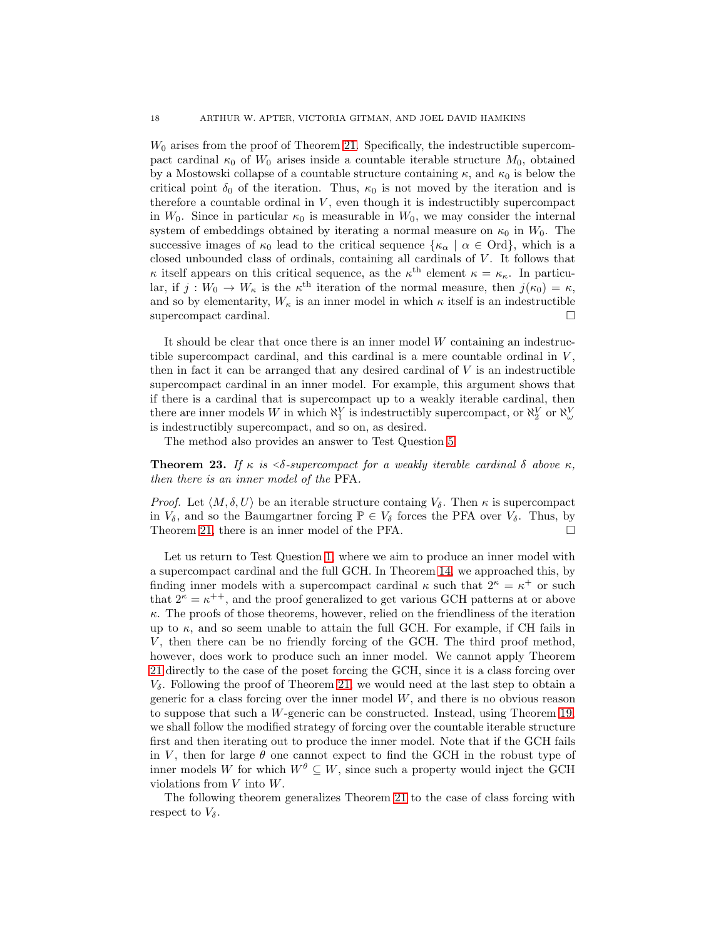$W_0$  arises from the proof of Theorem [21.](#page-16-2) Specifically, the indestructible supercompact cardinal  $\kappa_0$  of  $W_0$  arises inside a countable iterable structure  $M_0$ , obtained by a Mostowski collapse of a countable structure containing  $\kappa$ , and  $\kappa_0$  is below the critical point  $\delta_0$  of the iteration. Thus,  $\kappa_0$  is not moved by the iteration and is therefore a countable ordinal in  $V$ , even though it is indestructibly supercompact in  $W_0$ . Since in particular  $\kappa_0$  is measurable in  $W_0$ , we may consider the internal system of embeddings obtained by iterating a normal measure on  $\kappa_0$  in  $W_0$ . The successive images of  $\kappa_0$  lead to the critical sequence  $\{\kappa_\alpha \mid \alpha \in \text{Ord}\},\$  which is a closed unbounded class of ordinals, containing all cardinals of V . It follows that  $\kappa$  itself appears on this critical sequence, as the  $\kappa^{\text{th}}$  element  $\kappa = \kappa_{\kappa}$ . In particular, if  $j: W_0 \to W_\kappa$  is the  $\kappa^{\text{th}}$  iteration of the normal measure, then  $j(\kappa_0) = \kappa$ , and so by elementarity,  $W_{\kappa}$  is an inner model in which  $\kappa$  itself is an indestructible supercompact cardinal.

It should be clear that once there is an inner model  $W$  containing an indestructible supercompact cardinal, and this cardinal is a mere countable ordinal in  $V$ , then in fact it can be arranged that any desired cardinal of  $V$  is an indestructible supercompact cardinal in an inner model. For example, this argument shows that if there is a cardinal that is supercompact up to a weakly iterable cardinal, then there are inner models W in which  $\aleph_1^V$  is indestructibly supercompact, or  $\aleph_2^V$  or  $\aleph_\omega^V$ is indestructibly supercompact, and so on, as desired.

The method also provides an answer to Test Question [5.](#page-2-3)

<span id="page-17-0"></span>**Theorem 23.** If  $\kappa$  is  $\langle \delta$ -supercompact for a weakly iterable cardinal  $\delta$  above  $\kappa$ , *then there is an inner model of the* PFA*.*

*Proof.* Let  $\langle M, \delta, U \rangle$  be an iterable structure containg  $V_{\delta}$ . Then  $\kappa$  is supercompact in  $V_{\delta}$ , and so the Baumgartner forcing  $\mathbb{P} \in V_{\delta}$  forces the PFA over  $V_{\delta}$ . Thus, by Theorem [21,](#page-16-2) there is an inner model of the PFA.

Let us return to Test Question [1,](#page-1-0) where we aim to produce an inner model with a supercompact cardinal and the full GCH. In Theorem [14,](#page-6-0) we approached this, by finding inner models with a supercompact cardinal  $\kappa$  such that  $2^{\kappa} = \kappa^+$  or such that  $2^{\kappa} = \kappa^{++}$ , and the proof generalized to get various GCH patterns at or above  $\kappa$ . The proofs of those theorems, however, relied on the friendliness of the iteration up to  $\kappa$ , and so seem unable to attain the full GCH. For example, if CH fails in V, then there can be no friendly forcing of the GCH. The third proof method, however, does work to produce such an inner model. We cannot apply Theorem [21](#page-16-2) directly to the case of the poset forcing the GCH, since it is a class forcing over  $V_{\delta}$ . Following the proof of Theorem [21,](#page-16-2) we would need at the last step to obtain a generic for a class forcing over the inner model W, and there is no obvious reason to suppose that such a W-generic can be constructed. Instead, using Theorem [19,](#page-13-0) we shall follow the modified strategy of forcing over the countable iterable structure first and then iterating out to produce the inner model. Note that if the GCH fails in V, then for large  $\theta$  one cannot expect to find the GCH in the robust type of inner models W for which  $W^{\theta} \subseteq W$ , since such a property would inject the GCH violations from V into W.

The following theorem generalizes Theorem [21](#page-16-2) to the case of class forcing with respect to  $V_{\delta}$ .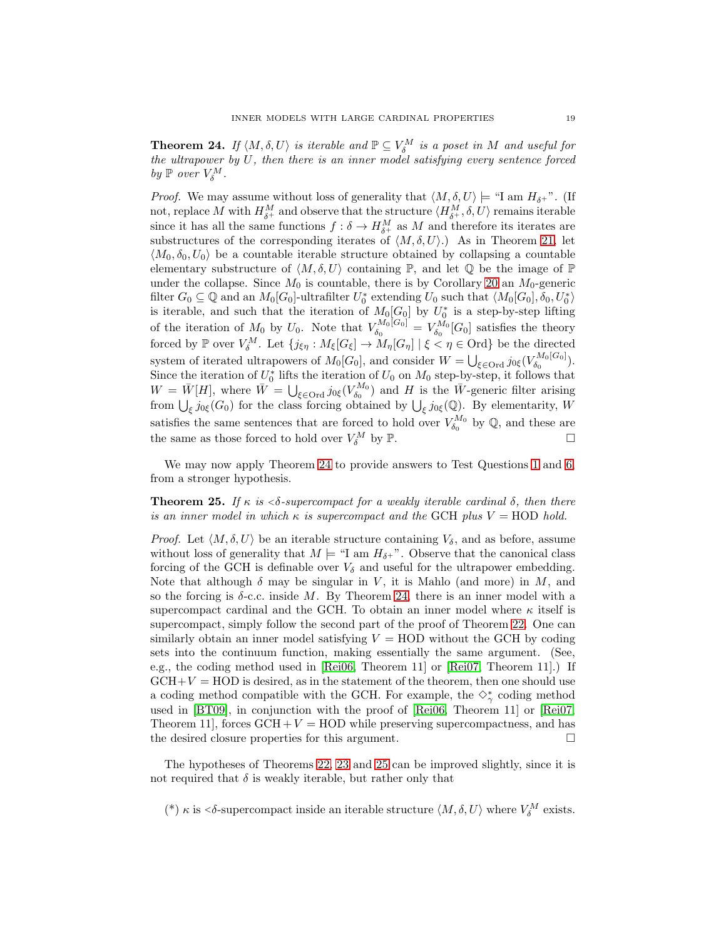<span id="page-18-1"></span>**Theorem 24.** If  $\langle M, \delta, U \rangle$  is iterable and  $\mathbb{P} \subseteq V_{\delta}^M$  is a poset in M and useful for *the ultrapower by* U*, then there is an inner model satisfying every sentence forced by*  $\mathbb{P}$  *over*  $V_{\delta}^M$ .

*Proof.* We may assume without loss of generality that  $\langle M, \delta, U \rangle \models$  "I am  $H_{\delta^+}$ ". (If not, replace M with  $H_{\delta^+}^M$  and observe that the structure  $\langle H_{\delta^+}^M, \delta, U \rangle$  remains iterable since it has all the same functions  $f: \delta \to H_{\delta^+}^M$  as M and therefore its iterates are substructures of the corresponding iterates of  $\langle M, \delta, U \rangle$ .) As in Theorem [21,](#page-16-2) let  $\langle M_0, \delta_0, U_0 \rangle$  be a countable iterable structure obtained by collapsing a countable elementary substructure of  $\langle M, \delta, U \rangle$  containing  $\mathbb{P}$ , and let  $\mathbb{Q}$  be the image of  $\mathbb{P}$ under the collapse. Since  $M_0$  is countable, there is by Corollary [20](#page-16-3) an  $M_0$ -generic filter  $G_0 \subseteq \mathbb{Q}$  and an  $M_0[G_0]$ -ultrafilter  $U_0^*$  extending  $U_0$  such that  $\langle M_0[G_0], \delta_0, U_0^* \rangle$ is iterable, and such that the iteration of  $M_0[G_0]$  by  $U_0^*$  is a step-by-step lifting of the iteration of  $M_0$  by  $U_0$ . Note that  $V_{\delta_0}^{M_0[G_0]}$  $V_{\delta_0}^{M_0[G_0]}=V_{\delta_0}^{M_0}[G_0]$  satisfies the theory forced by  $\mathbb P$  over  $V_\delta^M$ . Let  $\{j_{\xi\eta}:M_\xi[G_\xi]\to M_\eta[G_\eta]\mid \xi\lt\eta\in\mathcal{O}$ rd} be the directed system of iterated ultrapowers of  $M_0[G_0]$ , and consider  $W = \bigcup_{\xi \in \text{Ord}} j_{0\xi}(V_{\delta_0}^{M_0[G_0]}$  $\delta_0^{NII0\,[\mathbf{G}0]}\big).$ Since the iteration of  $U_0^*$  lifts the iteration of  $U_0$  on  $M_0$  step-by-step, it follows that  $W = \bar{W}[H]$ , where  $\bar{W} = \bigcup_{\xi \in \text{Ord}} j_{0\xi}(V_{\delta_0}^{M_0})$  and H is the  $\bar{W}$ -generic filter arising from  $\bigcup_{\xi} j_{0\xi}(G_0)$  for the class forcing obtained by  $\bigcup_{\xi} j_{0\xi}(\mathbb{Q})$ . By elementarity, W satisfies the same sentences that are forced to hold over  $V_{\delta_0}^{M_0}$  by  $\mathbb{Q}$ , and these are the same as those forced to hold over  $V_{\delta}^M$  by  $\mathbb{P}$ .

We may now apply Theorem [24](#page-18-1) to provide answers to Test Questions [1](#page-1-0) and [6,](#page-2-1) from a stronger hypothesis.

<span id="page-18-0"></span>**Theorem 25.** *If*  $\kappa$  *is*  $\langle \delta$ -supercompact for a weakly iterable cardinal  $\delta$ , then there *is an inner model in which*  $\kappa$  *is supercompact and the* GCH *plus*  $V = \text{HOD}$  *hold.* 

*Proof.* Let  $\langle M, \delta, U \rangle$  be an iterable structure containing  $V_{\delta}$ , and as before, assume without loss of generality that  $M \models \text{``I am } H_{\delta^+}$ ". Observe that the canonical class forcing of the GCH is definable over  $V_{\delta}$  and useful for the ultrapower embedding. Note that although  $\delta$  may be singular in V, it is Mahlo (and more) in M, and so the forcing is  $\delta$ -c.c. inside M. By Theorem [24,](#page-18-1) there is an inner model with a supercompact cardinal and the GCH. To obtain an inner model where  $\kappa$  itself is supercompact, simply follow the second part of the proof of Theorem [22.](#page-16-1) One can similarly obtain an inner model satisfying  $V = \text{HOD}$  without the GCH by coding sets into the continuum function, making essentially the same argument. (See, e.g., the coding method used in [\[Rei06,](#page-24-15) Theorem 11] or [\[Rei07,](#page-24-16) Theorem 11].) If  $GCH+V = HOD$  is desired, as in the statement of the theorem, then one should use a coding method compatible with the GCH. For example, the  $\diamondsuit^*_{\gamma}$  coding method used in [\[BT09\]](#page-24-17), in conjunction with the proof of [\[Rei06,](#page-24-15) Theorem 11] or [\[Rei07,](#page-24-16) Theorem 11], forces  $GCH + V = HOD$  while preserving supercompactness, and has the desired closure properties for this argument.

The hypotheses of Theorems [22,](#page-16-1) [23](#page-17-0) and [25](#page-18-0) can be improved slightly, since it is not required that  $\delta$  is weakly iterable, but rather only that

(\*) κ is <δ-supercompact inside an iterable structure  $\langle M, \delta, U \rangle$  where  $V_{\delta}^M$  exists.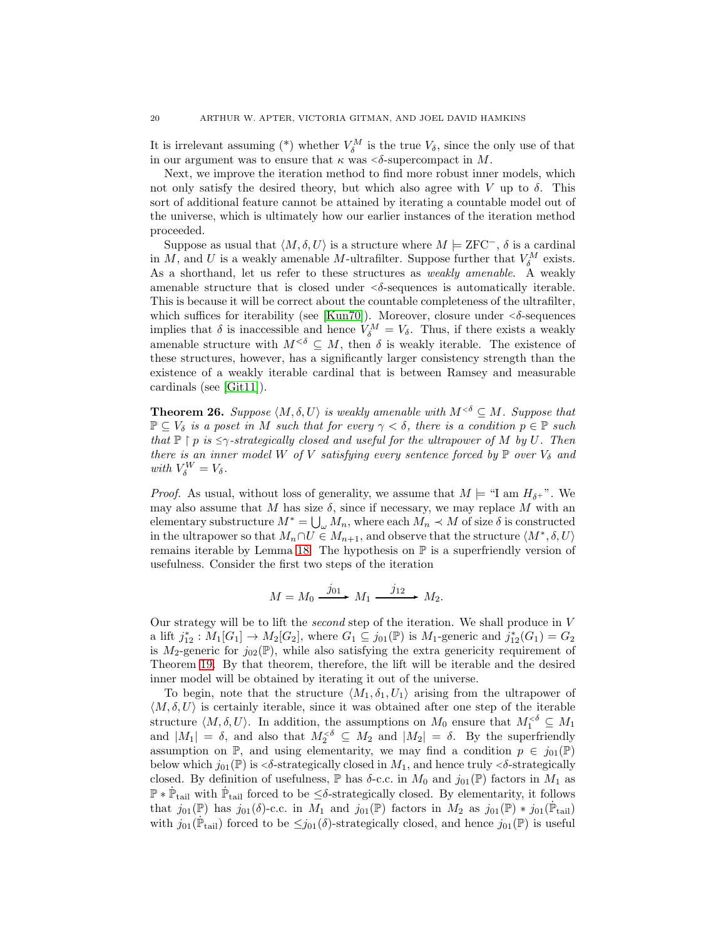It is irrelevant assuming (\*) whether  $V_{\delta}^M$  is the true  $V_{\delta}$ , since the only use of that in our argument was to ensure that  $\kappa$  was  $\leq \delta$ -supercompact in M.

Next, we improve the iteration method to find more robust inner models, which not only satisfy the desired theory, but which also agree with V up to  $\delta$ . This sort of additional feature cannot be attained by iterating a countable model out of the universe, which is ultimately how our earlier instances of the iteration method proceeded.

Suppose as usual that  $\langle M, \delta, U \rangle$  is a structure where  $M \models \text{ZFC}^-, \delta$  is a cardinal in M, and U is a weakly amenable M-ultrafilter. Suppose further that  $V_{\delta}^M$  exists. As a shorthand, let us refer to these structures as *weakly amenable*. A weakly amenable structure that is closed under  $\langle \delta \text{-sequences} \rangle$  is automatically iterable. This is because it will be correct about the countable completeness of the ultrafilter, which suffices for iterability (see [\[Kun70\]](#page-24-18)). Moreover, closure under  $\langle \delta \text{-sequences} \rangle$ implies that  $\delta$  is inaccessible and hence  $V_{\delta}^M = V_{\delta}$ . Thus, if there exists a weakly amenable structure with  $M^{<\delta} \subseteq M$ , then  $\delta$  is weakly iterable. The existence of these structures, however, has a significantly larger consistency strength than the existence of a weakly iterable cardinal that is between Ramsey and measurable cardinals (see [\[Git11\]](#page-24-12)).

<span id="page-19-0"></span>**Theorem 26.** *Suppose*  $\langle M, \delta, U \rangle$  *is weakly amenable with*  $M^{<\delta} \subseteq M$ *. Suppose that*  $\mathbb{P} \subseteq V_{\delta}$  *is a poset in* M *such that for every*  $\gamma < \delta$ *, there is a condition*  $p \in \mathbb{P}$  *such that*  $\mathbb{P} \restriction p$  *is*  $\leq \gamma$ *-strategically closed and useful for the ultrapower of* M *by* U. Then *there is an inner model* W of V *satisfying every sentence forced by*  $\mathbb{P}$  *over*  $V_{\delta}$  *and with*  $V_{\delta}^{W} = V_{\delta}$ .

*Proof.* As usual, without loss of generality, we assume that  $M \models \text{``I am } H_{\delta+}$ ". We may also assume that M has size  $\delta$ , since if necessary, we may replace M with an elementary substructure  $M^* = \bigcup_{\omega} M_n$ , where each  $M_n \prec M$  of size  $\delta$  is constructed in the ultrapower so that  $M_n \cap U \in M_{n+1}$ , and observe that the structure  $\langle M^*, \delta, U \rangle$ remains iterable by Lemma [18.](#page-11-0) The hypothesis on  $\mathbb P$  is a superfriendly version of usefulness. Consider the first two steps of the iteration

$$
M = M_0 \xrightarrow{j_{01}} M_1 \xrightarrow{j_{12}} M_2.
$$

Our strategy will be to lift the *second* step of the iteration. We shall produce in V a lift  $j_{12}^* : M_1[G_1] \to M_2[G_2]$ , where  $G_1 \subseteq j_{01}(\mathbb{P})$  is  $M_1$ -generic and  $j_{12}^*(G_1) = G_2$ is  $M_2$ -generic for  $j_{02}(\mathbb{P})$ , while also satisfying the extra genericity requirement of Theorem [19.](#page-13-0) By that theorem, therefore, the lift will be iterable and the desired inner model will be obtained by iterating it out of the universe.

To begin, note that the structure  $\langle M_1, \delta_1, U_1 \rangle$  arising from the ultrapower of  $\langle M, \delta, U \rangle$  is certainly iterable, since it was obtained after one step of the iterable structure  $\langle M, \delta, U \rangle$ . In addition, the assumptions on  $M_0$  ensure that  $M_1^{<\delta} \subseteq M_1$ and  $|M_1| = \delta$ , and also that  $M_2^{\leq \delta} \subseteq M_2$  and  $|M_2| = \delta$ . By the superfriendly assumption on P, and using elementarity, we may find a condition  $p \in j_{01}(\mathbb{P})$ below which  $j_{01}(\mathbb{P})$  is  $\leq \delta$ -strategically closed in  $M_1$ , and hence truly  $\leq \delta$ -strategically closed. By definition of usefulness,  $\mathbb P$  has  $\delta$ -c.c. in  $M_0$  and  $j_{01}(\mathbb P)$  factors in  $M_1$  as  $\mathbb{P} * \dot{\mathbb{P}}_{tail}$  with  $\dot{\mathbb{P}}_{tail}$  forced to be  $\leq \delta$ -strategically closed. By elementarity, it follows that  $j_{01}(\mathbb{P})$  has  $j_{01}(\delta)$ -c.c. in  $M_1$  and  $j_{01}(\mathbb{P})$  factors in  $M_2$  as  $j_{01}(\mathbb{P}) * j_{01}(\mathbb{P}_{\text{tail}})$ with  $j_{01}(\dot{\mathbb{P}}_{\text{tail}})$  forced to be  $\leq j_{01}(\delta)$ -strategically closed, and hence  $j_{01}(\mathbb{P})$  is useful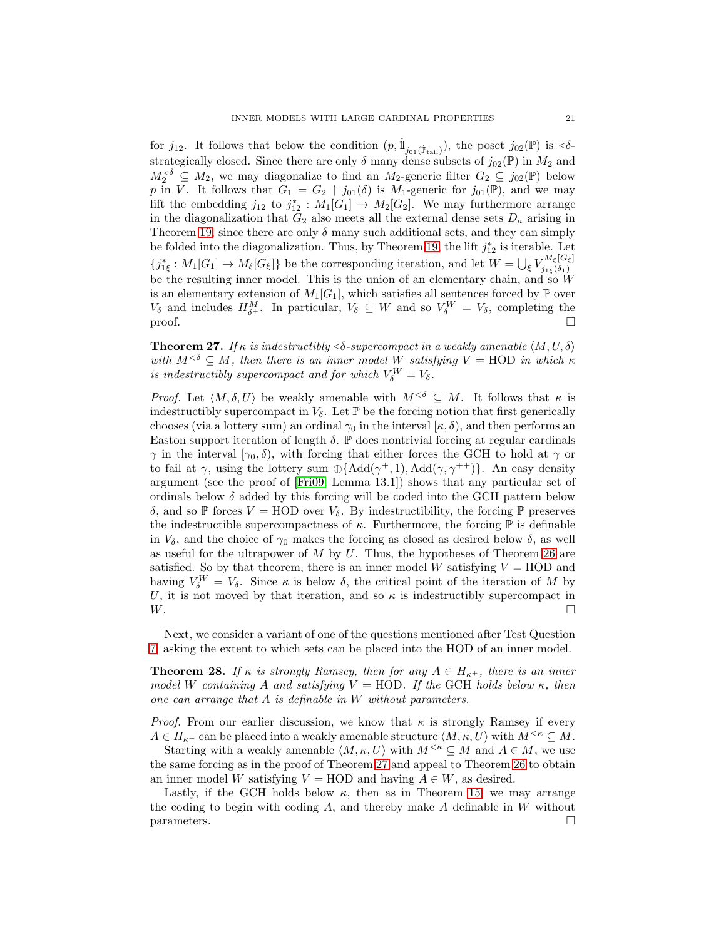for  $j_{12}$ . It follows that below the condition  $(p, \dot{1}_{j_{01}(\dot{\mathbb{P}}_{\text{tail}})})$ , the poset  $j_{02}(\mathbb{P})$  is  $\langle \delta \cdot \rangle$ strategically closed. Since there are only  $\delta$  many dense subsets of  $j_{02}(\mathbb{P})$  in  $M_2$  and  $M_2^{\leq \delta} \subseteq M_2$ , we may diagonalize to find an  $M_2$ -generic filter  $G_2 \subseteq j_{02}(\mathbb{P})$  below p in V. It follows that  $G_1 = G_2 \restriction j_{01}(\delta)$  is  $M_1$ -generic for  $j_{01}(\mathbb{P})$ , and we may lift the embedding  $j_{12}$  to  $j_{12}^* : M_1[G_1] \to M_2[G_2]$ . We may furthermore arrange in the diagonalization that  $G_2$  also meets all the external dense sets  $D_a$  arising in Theorem [19,](#page-13-0) since there are only  $\delta$  many such additional sets, and they can simply be folded into the diagonalization. Thus, by Theorem [19,](#page-13-0) the lift  $j_{12}^*$  is iterable. Let  ${j_{1\xi}^*: M_1[G_1] \to M_{\xi}[G_{\xi}]}$  be the corresponding iteration, and let  $W = \bigcup_{\xi} V_{j_1\xi}^{M_{\xi}[G_{\xi}]}$  $j_{1\xi}(\delta_1)$ be the resulting inner model. This is the union of an elementary chain, and so  $W$ is an elementary extension of  $M_1[G_1]$ , which satisfies all sentences forced by  $\mathbb P$  over  $V_{\delta}$  and includes  $H_{\delta+}^M$ . In particular,  $V_{\delta} \subseteq W$  and so  $V_{\delta}^W = V_{\delta}$ , completing the  $\Box$ 

<span id="page-20-0"></span>**Theorem 27.** *If*  $\kappa$  *is indestructibly* < $\delta$ -supercompact in a weakly amenable  $\langle M, U, \delta \rangle$ *with*  $M^{<\delta} \subseteq M$ , then there is an inner model W satisfying  $V = \text{HOD}$  *in which*  $\kappa$ *is indestructibly supercompact and for which*  $V_{\delta}^{W} = V_{\delta}$ .

*Proof.* Let  $\langle M, \delta, U \rangle$  be weakly amenable with  $M^{<\delta} \subseteq M$ . It follows that  $\kappa$  is indestructibly supercompact in  $V_{\delta}$ . Let  $\mathbb{P}$  be the forcing notion that first generically chooses (via a lottery sum) an ordinal  $\gamma_0$  in the interval  $[\kappa, \delta)$ , and then performs an Easton support iteration of length  $\delta$ .  $\mathbb{P}$  does nontrivial forcing at regular cardinals  $\gamma$  in the interval  $[\gamma_0, \delta)$ , with forcing that either forces the GCH to hold at  $\gamma$  or to fail at  $\gamma$ , using the lottery sum  $\oplus$ {Add( $\gamma^+$ , 1), Add( $\gamma$ ,  $\gamma^{++}$ )}. An easy density argument (see the proof of [\[Fri09,](#page-24-19) Lemma 13.1]) shows that any particular set of ordinals below  $\delta$  added by this forcing will be coded into the GCH pattern below δ, and so  $\mathbb P$  forces  $V = \text{HOD}$  over  $V_\delta$ . By indestructibility, the forcing  $\mathbb P$  preserves the indestructible supercompactness of  $\kappa$ . Furthermore, the forcing  $\mathbb P$  is definable in  $V_\delta$ , and the choice of  $\gamma_0$  makes the forcing as closed as desired below  $\delta$ , as well as useful for the ultrapower of  $M$  by  $U$ . Thus, the hypotheses of Theorem [26](#page-19-0) are satisfied. So by that theorem, there is an inner model  $W$  satisfying  $V = \text{HOD}$  and having  $V_{\delta}^{W} = V_{\delta}$ . Since  $\kappa$  is below  $\delta$ , the critical point of the iteration of M by U, it is not moved by that iteration, and so  $\kappa$  is indestructibly supercompact in  $W.$ 

Next, we consider a variant of one of the questions mentioned after Test Question [7,](#page-2-2) asking the extent to which sets can be placed into the HOD of an inner model.

<span id="page-20-1"></span>**Theorem 28.** *If*  $\kappa$  *is strongly Ramsey, then for any*  $A \in H_{\kappa^+}$ *, there is an inner model* W *containing* A *and satisfying*  $V = \text{HOD}$ *. If the* GCH *holds below* κ*, then one can arrange that* A *is definable in* W *without parameters.*

*Proof.* From our earlier discussion, we know that  $\kappa$  is strongly Ramsey if every  $A \in H_{\kappa^+}$  can be placed into a weakly amenable structure  $\langle M, \kappa, U \rangle$  with  $M^{\leq \kappa} \subseteq M$ .

Starting with a weakly amenable  $\langle M, \kappa, U \rangle$  with  $M^{<\kappa} \subseteq M$  and  $A \in M$ , we use the same forcing as in the proof of Theorem [27](#page-20-0) and appeal to Theorem [26](#page-19-0) to obtain an inner model W satisfying  $V = HOD$  and having  $A \in W$ , as desired.

Lastly, if the GCH holds below  $\kappa$ , then as in Theorem [15,](#page-7-0) we may arrange the coding to begin with coding  $A$ , and thereby make  $A$  definable in  $W$  without parameters.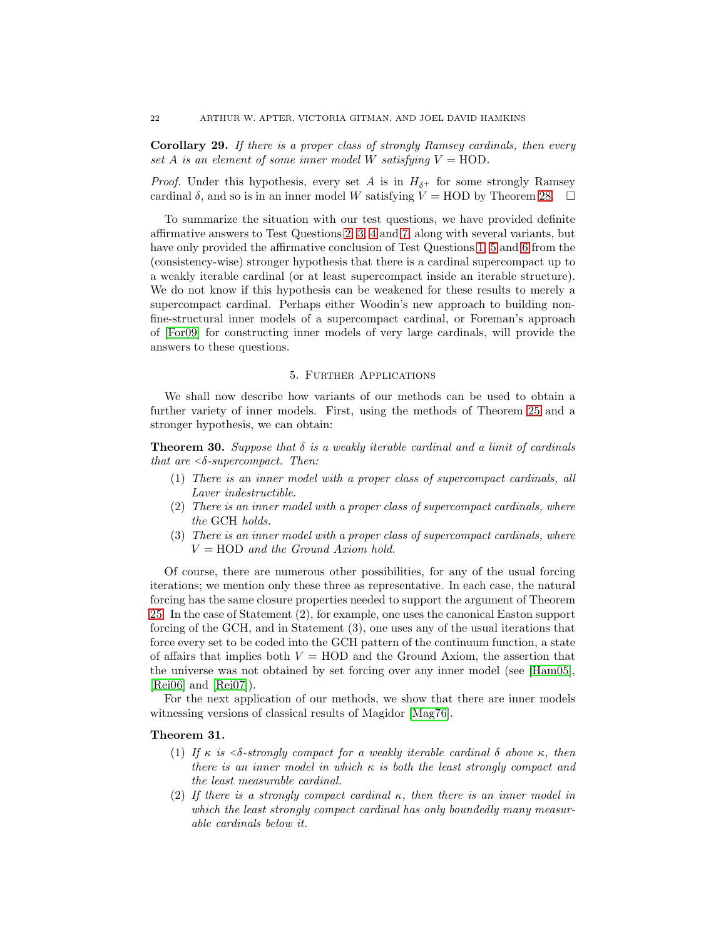Corollary 29. *If there is a proper class of strongly Ramsey cardinals, then every set* A *is an element of some inner model* W *satisfying*  $V = HOD$ .

*Proof.* Under this hypothesis, every set A is in  $H_{\delta^+}$  for some strongly Ramsey cardinal  $\delta$ , and so is in an inner model W satisfying  $V = \text{HOD}$  by Theorem [28.](#page-20-1)  $\Box$ 

To summarize the situation with our test questions, we have provided definite affirmative answers to Test Questions [2,](#page-1-1) [3,](#page-1-2) [4](#page-2-0) and [7,](#page-2-2) along with several variants, but have only provided the affirmative conclusion of Test Questions [1,](#page-1-0) [5](#page-2-3) and [6](#page-2-1) from the (consistency-wise) stronger hypothesis that there is a cardinal supercompact up to a weakly iterable cardinal (or at least supercompact inside an iterable structure). We do not know if this hypothesis can be weakened for these results to merely a supercompact cardinal. Perhaps either Woodin's new approach to building nonfine-structural inner models of a supercompact cardinal, or Foreman's approach of [\[For09\]](#page-24-20) for constructing inner models of very large cardinals, will provide the answers to these questions.

#### 5. Further Applications

<span id="page-21-0"></span>We shall now describe how variants of our methods can be used to obtain a further variety of inner models. First, using the methods of Theorem [25](#page-18-0) and a stronger hypothesis, we can obtain:

Theorem 30. *Suppose that* δ *is a weakly iterable cardinal and a limit of cardinals that are* <sup>&</sup>lt;δ*-supercompact. Then:*

- (1) *There is an inner model with a proper class of supercompact cardinals, all Laver indestructible.*
- (2) *There is an inner model with a proper class of supercompact cardinals, where the* GCH *holds.*
- (3) *There is an inner model with a proper class of supercompact cardinals, where* V = HOD *and the Ground Axiom hold.*

Of course, there are numerous other possibilities, for any of the usual forcing iterations; we mention only these three as representative. In each case, the natural forcing has the same closure properties needed to support the argument of Theorem [25.](#page-18-0) In the case of Statement (2), for example, one uses the canonical Easton support forcing of the GCH, and in Statement (3), one uses any of the usual iterations that force every set to be coded into the GCH pattern of the continuum function, a state of affairs that implies both  $V = HOD$  and the Ground Axiom, the assertion that the universe was not obtained by set forcing over any inner model (see [\[Ham05\]](#page-24-21), [\[Rei06\]](#page-24-15) and [\[Rei07\]](#page-24-16)).

For the next application of our methods, we show that there are inner models witnessing versions of classical results of Magidor [\[Mag76\]](#page-24-22).

# <span id="page-21-1"></span>Theorem 31.

- (1) *If* κ *is* <sup>&</sup>lt;δ*-strongly compact for a weakly iterable cardinal* δ *above* κ*, then there is an inner model in which* κ *is both the least strongly compact and the least measurable cardinal.*
- <span id="page-21-2"></span>(2) *If there is a strongly compact cardinal* κ*, then there is an inner model in which the least strongly compact cardinal has only boundedly many measurable cardinals below it.*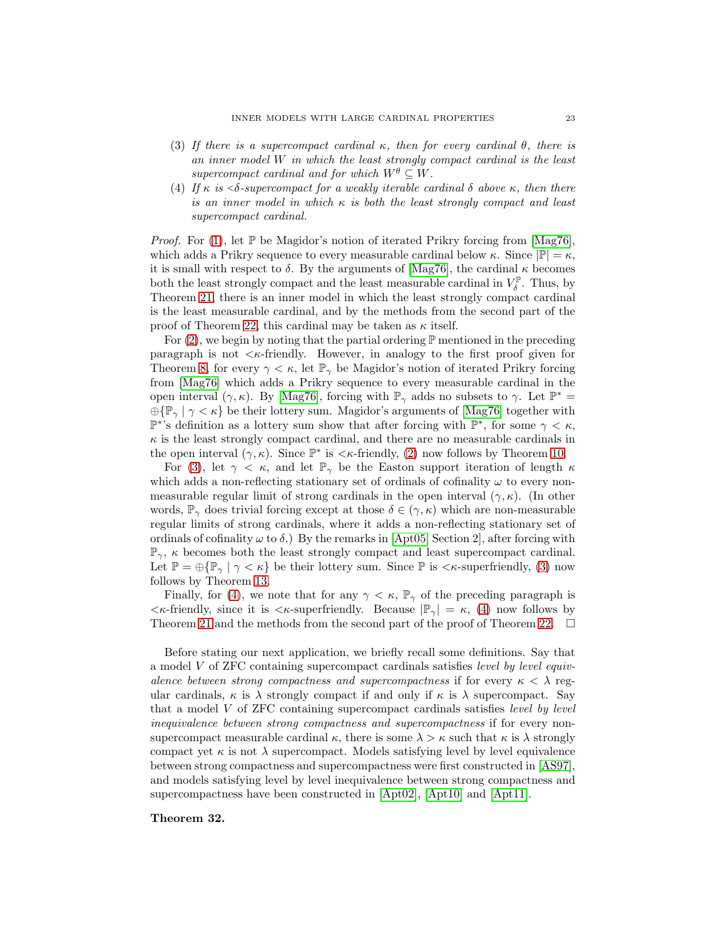- <span id="page-22-0"></span>(3) *If there is a supercompact cardinal* κ*, then for every cardinal* θ*, there is an inner model* W *in which the least strongly compact cardinal is the least supercompact cardinal and for which*  $W^{\theta} \subseteq W$ .
- <span id="page-22-1"></span>(4) *If* κ *is* <sup>&</sup>lt;δ*-supercompact for a weakly iterable cardinal* δ *above* κ*, then there is an inner model in which* κ *is both the least strongly compact and least supercompact cardinal.*

*Proof.* For [\(1\)](#page-21-1), let  $\mathbb P$  be Magidor's notion of iterated Prikry forcing from [\[Mag76\]](#page-24-22), which adds a Prikry sequence to every measurable cardinal below  $\kappa$ . Since  $|\mathbb{P}| = \kappa$ , it is small with respect to  $\delta$ . By the arguments of [\[Mag76\]](#page-24-22), the cardinal  $\kappa$  becomes both the least strongly compact and the least measurable cardinal in  $V_{\delta}^{\mathbb{P}}$  $\delta^{\mathbb{P}}$ . Thus, by Theorem [21,](#page-16-2) there is an inner model in which the least strongly compact cardinal is the least measurable cardinal, and by the methods from the second part of the proof of Theorem [22,](#page-16-1) this cardinal may be taken as  $\kappa$  itself.

For  $(2)$ , we begin by noting that the partial ordering  $\mathbb P$  mentioned in the preceding paragraph is not  $\lt \kappa$ -friendly. However, in analogy to the first proof given for Theorem [8,](#page-4-0) for every  $\gamma < \kappa$ , let  $\mathbb{P}_{\gamma}$  be Magidor's notion of iterated Prikry forcing from [\[Mag76\]](#page-24-22) which adds a Prikry sequence to every measurable cardinal in the open interval  $(\gamma, \kappa)$ . By [\[Mag76\]](#page-24-22), forcing with  $\mathbb{P}_{\gamma}$  adds no subsets to  $\gamma$ . Let  $\mathbb{P}^*$  =  $\bigoplus \{\mathbb{P}_{\gamma} \mid \gamma < \kappa\}$  be their lottery sum. Magidor's arguments of [\[Mag76\]](#page-24-22) together with  $\mathbb{P}^*$ 's definition as a lottery sum show that after forcing with  $\mathbb{P}^*$ , for some  $\gamma < \kappa$ ,  $\kappa$  is the least strongly compact cardinal, and there are no measurable cardinals in the open interval  $(\gamma, \kappa)$ . Since  $\mathbb{P}^*$  is  $\langle \kappa$ -friendly, [\(2\)](#page-21-2) now follows by Theorem [10.](#page-4-1)

For [\(3\)](#page-22-0), let  $\gamma < \kappa$ , and let  $\mathbb{P}_{\gamma}$  be the Easton support iteration of length  $\kappa$ which adds a non-reflecting stationary set of ordinals of cofinality  $\omega$  to every nonmeasurable regular limit of strong cardinals in the open interval  $(\gamma, \kappa)$ . (In other words,  $\mathbb{P}_{\gamma}$  does trivial forcing except at those  $\delta \in (\gamma, \kappa)$  which are non-measurable regular limits of strong cardinals, where it adds a non-reflecting stationary set of ordinals of cofinality  $\omega$  to  $\delta$ .) By the remarks in [\[Apt05,](#page-23-0) Section 2], after forcing with  $\mathbb{P}_{\gamma}$ ,  $\kappa$  becomes both the least strongly compact and least supercompact cardinal. Let  $\mathbb{P} = \bigoplus \{\mathbb{P}_{\gamma} \mid \gamma < \kappa\}$  be their lottery sum. Since  $\mathbb{P}$  is  $\langle \kappa$ -superfriendly, [\(3\)](#page-22-0) now follows by Theorem [13.](#page-6-3)

Finally, for [\(4\)](#page-22-1), we note that for any  $\gamma < \kappa$ ,  $\mathbb{P}_{\gamma}$  of the preceding paragraph is  $\langle \kappa \text{-frind} \rangle$ , since it is  $\langle \kappa \text{-superfriend} \rangle$ . Because  $|\mathbb{P}_{\gamma}| = \kappa$ , [\(4\)](#page-22-1) now follows by Theorem [21](#page-16-2) and the methods from the second part of the proof of Theorem [22.](#page-16-1)  $\Box$ 

Before stating our next application, we briefly recall some definitions. Say that a model V of ZFC containing supercompact cardinals satisfies *level by level equivalence between strong compactness and supercompactness* if for every  $\kappa < \lambda$  regular cardinals,  $\kappa$  is  $\lambda$  strongly compact if and only if  $\kappa$  is  $\lambda$  supercompact. Say that a model V of ZFC containing supercompact cardinals satisfies *level by level inequivalence between strong compactness and supercompactness* if for every nonsupercompact measurable cardinal  $\kappa$ , there is some  $\lambda > \kappa$  such that  $\kappa$  is  $\lambda$  strongly compact yet  $\kappa$  is not  $\lambda$  supercompact. Models satisfying level by level equivalence between strong compactness and supercompactness were first constructed in [\[AS97\]](#page-24-23), and models satisfying level by level inequivalence between strong compactness and supercompactness have been constructed in [\[Apt02\]](#page-23-1), [\[Apt10\]](#page-24-24) and [\[Apt11\]](#page-24-25).

#### <span id="page-22-2"></span>Theorem 32.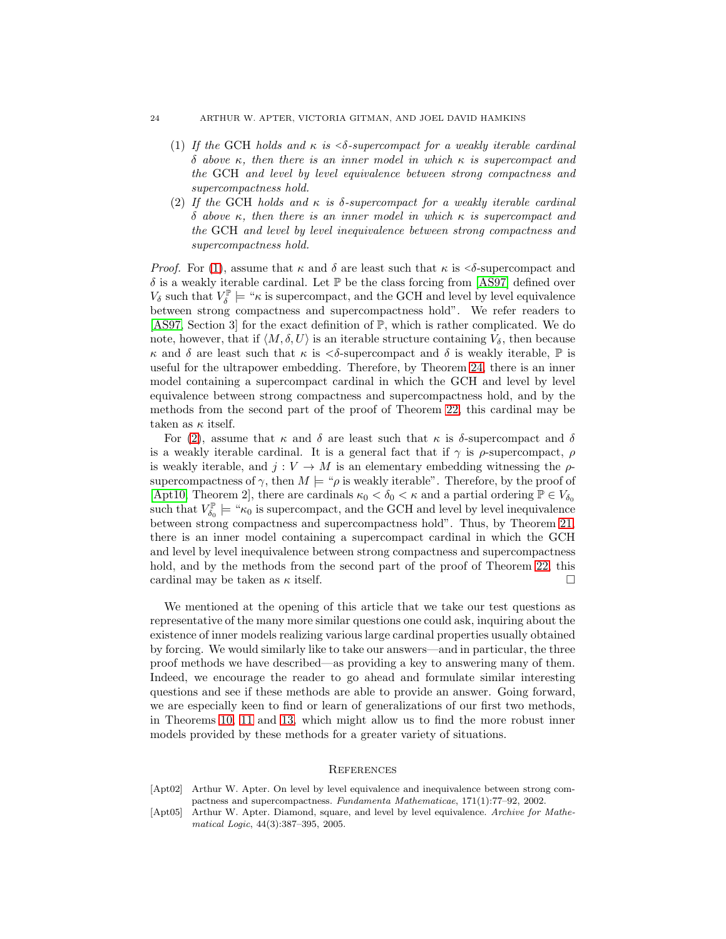#### 24 ARTHUR W. APTER, VICTORIA GITMAN, AND JOEL DAVID HAMKINS

- (1) *If the* GCH *holds and* κ *is* <sup>&</sup>lt;δ*-supercompact for a weakly iterable cardinal* δ *above* κ*, then there is an inner model in which* κ *is supercompact and the* GCH *and level by level equivalence between strong compactness and supercompactness hold.*
- <span id="page-23-2"></span>(2) *If the* GCH *holds and* κ *is* δ*-supercompact for a weakly iterable cardinal* δ *above* κ*, then there is an inner model in which* κ *is supercompact and the* GCH *and level by level inequivalence between strong compactness and supercompactness hold.*

*Proof.* For [\(1\)](#page-22-2), assume that  $\kappa$  and  $\delta$  are least such that  $\kappa$  is  $\delta$ -supercompact and  $\delta$  is a weakly iterable cardinal. Let  $\mathbb P$  be the class forcing from [\[AS97\]](#page-24-23) defined over  $V_{\delta}$  such that  $V_{\delta}^{\mathbb{P}}$  $\delta^{\mathbb{P}^{\mathbb{P}}}_{\delta}$  = " $\kappa$  is supercompact, and the GCH and level by level equivalence between strong compactness and supercompactness hold". We refer readers to [\[AS97,](#page-24-23) Section 3] for the exact definition of P, which is rather complicated. We do note, however, that if  $\langle M, \delta, U \rangle$  is an iterable structure containing  $V_{\delta}$ , then because  $\kappa$  and  $\delta$  are least such that  $\kappa$  is  $\langle \delta \rangle$ -supercompact and  $\delta$  is weakly iterable,  $\mathbb P$  is useful for the ultrapower embedding. Therefore, by Theorem [24,](#page-18-1) there is an inner model containing a supercompact cardinal in which the GCH and level by level equivalence between strong compactness and supercompactness hold, and by the methods from the second part of the proof of Theorem [22,](#page-16-1) this cardinal may be taken as  $\kappa$  itself.

For [\(2\)](#page-23-2), assume that  $\kappa$  and  $\delta$  are least such that  $\kappa$  is  $\delta$ -supercompact and  $\delta$ is a weakly iterable cardinal. It is a general fact that if  $\gamma$  is  $\rho$ -supercompact,  $\rho$ is weakly iterable, and  $j: V \to M$  is an elementary embedding witnessing the  $\rho$ supercompactness of  $\gamma$ , then  $M \models {\varphi}$  is weakly iterable". Therefore, by the proof of [\[Apt10,](#page-24-24) Theorem 2], there are cardinals  $\kappa_0 < \delta_0 < \kappa$  and a partial ordering  $\mathbb{P} \in V_{\delta_0}$ such that  $V_{\delta_0}^{\mathbb{P}} \models \mathcal{K}_0$  is supercompact, and the GCH and level by level inequivalence between strong compactness and supercompactness hold". Thus, by Theorem [21,](#page-16-2) there is an inner model containing a supercompact cardinal in which the GCH and level by level inequivalence between strong compactness and supercompactness hold, and by the methods from the second part of the proof of Theorem [22,](#page-16-1) this cardinal may be taken as  $\kappa$  itself.

We mentioned at the opening of this article that we take our test questions as representative of the many more similar questions one could ask, inquiring about the existence of inner models realizing various large cardinal properties usually obtained by forcing. We would similarly like to take our answers—and in particular, the three proof methods we have described—as providing a key to answering many of them. Indeed, we encourage the reader to go ahead and formulate similar interesting questions and see if these methods are able to provide an answer. Going forward, we are especially keen to find or learn of generalizations of our first two methods, in Theorems [10,](#page-4-1) [11](#page-5-0) and [13,](#page-6-3) which might allow us to find the more robust inner models provided by these methods for a greater variety of situations.

### **REFERENCES**

- <span id="page-23-1"></span>[Apt02] Arthur W. Apter. On level by level equivalence and inequivalence between strong compactness and supercompactness. Fundamenta Mathematicae, 171(1):77–92, 2002.
- <span id="page-23-0"></span>[Apt05] Arthur W. Apter. Diamond, square, and level by level equivalence. Archive for Mathematical Logic, 44(3):387–395, 2005.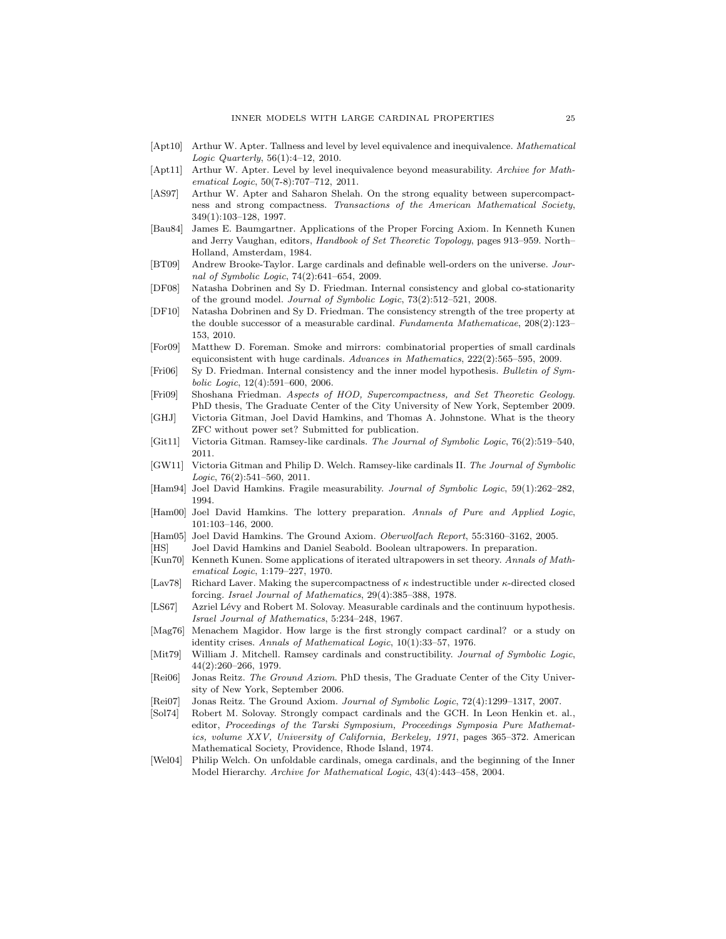- <span id="page-24-24"></span>[Apt10] Arthur W. Apter. Tallness and level by level equivalence and inequivalence. Mathematical Logic Quarterly, 56(1):4–12, 2010.
- <span id="page-24-25"></span>[Apt11] Arthur W. Apter. Level by level inequivalence beyond measurability. Archive for Mathematical Logic, 50(7-8):707–712, 2011.
- <span id="page-24-23"></span>[AS97] Arthur W. Apter and Saharon Shelah. On the strong equality between supercompactness and strong compactness. Transactions of the American Mathematical Society, 349(1):103–128, 1997.
- <span id="page-24-3"></span>[Bau84] James E. Baumgartner. Applications of the Proper Forcing Axiom. In Kenneth Kunen and Jerry Vaughan, editors, Handbook of Set Theoretic Topology, pages 913–959. North– Holland, Amsterdam, 1984.
- <span id="page-24-17"></span>[BT09] Andrew Brooke-Taylor. Large cardinals and definable well-orders on the universe. Journal of Symbolic Logic, 74(2):641–654, 2009.
- <span id="page-24-9"></span>[DF08] Natasha Dobrinen and Sy D. Friedman. Internal consistency and global co-stationarity of the ground model. Journal of Symbolic Logic, 73(2):512–521, 2008.
- <span id="page-24-10"></span>[DF10] Natasha Dobrinen and Sy D. Friedman. The consistency strength of the tree property at the double successor of a measurable cardinal. Fundamenta Mathematicae, 208(2):123– 153, 2010.
- <span id="page-24-20"></span>[For09] Matthew D. Foreman. Smoke and mirrors: combinatorial properties of small cardinals equiconsistent with huge cardinals. Advances in Mathematics, 222(2):565–595, 2009.
- <span id="page-24-0"></span>[Fri06] Sy D. Friedman. Internal consistency and the inner model hypothesis. Bulletin of Symbolic Logic, 12(4):591–600, 2006.
- <span id="page-24-19"></span>[Fri09] Shoshana Friedman. Aspects of HOD, Supercompactness, and Set Theoretic Geology. PhD thesis, The Graduate Center of the City University of New York, September 2009.
- <span id="page-24-4"></span>[GHJ] Victoria Gitman, Joel David Hamkins, and Thomas A. Johnstone. What is the theory ZFC without power set? Submitted for publication.
- <span id="page-24-12"></span>[Git11] Victoria Gitman. Ramsey-like cardinals. The Journal of Symbolic Logic, 76(2):519–540, 2011.
- <span id="page-24-13"></span>[GW11] Victoria Gitman and Philip D. Welch. Ramsey-like cardinals II. The Journal of Symbolic Logic,  $76(2):541-560$ ,  $2011$ .
- <span id="page-24-2"></span>[Ham94] Joel David Hamkins. Fragile measurability. Journal of Symbolic Logic, 59(1):262–282, 1994.
- <span id="page-24-7"></span>[Ham00] Joel David Hamkins. The lottery preparation. Annals of Pure and Applied Logic, 101:103–146, 2000.
- <span id="page-24-21"></span>[Ham05] Joel David Hamkins. The Ground Axiom. Oberwolfach Report, 55:3160–3162, 2005.
- <span id="page-24-5"></span>[HS] Joel David Hamkins and Daniel Seabold. Boolean ultrapowers. In preparation.
- <span id="page-24-18"></span>[Kun70] Kenneth Kunen. Some applications of iterated ultrapowers in set theory. Annals of Mathematical Logic, 1:179–227, 1970.
- <span id="page-24-1"></span>[Lav78] Richard Laver. Making the supercompactness of  $\kappa$  indestructible under  $\kappa$ -directed closed forcing. Israel Journal of Mathematics, 29(4):385–388, 1978.
- <span id="page-24-8"></span>[LS67] Azriel Lévy and Robert M. Solovay. Measurable cardinals and the continuum hypothesis. Israel Journal of Mathematics, 5:234–248, 1967.
- <span id="page-24-22"></span>[Mag76] Menachem Magidor. How large is the first strongly compact cardinal? or a study on identity crises. Annals of Mathematical Logic, 10(1):33–57, 1976.
- <span id="page-24-11"></span>[Mit79] William J. Mitchell. Ramsey cardinals and constructibility. Journal of Symbolic Logic, 44(2):260–266, 1979.
- <span id="page-24-15"></span>[Rei06] Jonas Reitz. The Ground Axiom. PhD thesis, The Graduate Center of the City University of New York, September 2006.
- <span id="page-24-16"></span>[Rei07] Jonas Reitz. The Ground Axiom. Journal of Symbolic Logic, 72(4):1299–1317, 2007.
- <span id="page-24-6"></span>[Sol74] Robert M. Solovay. Strongly compact cardinals and the GCH. In Leon Henkin et. al., editor, Proceedings of the Tarski Symposium, Proceedings Symposia Pure Mathematics, volume XXV, University of California, Berkeley, 1971, pages 365–372. American Mathematical Society, Providence, Rhode Island, 1974.
- <span id="page-24-14"></span>[Wel04] Philip Welch. On unfoldable cardinals, omega cardinals, and the beginning of the Inner Model Hierarchy. Archive for Mathematical Logic, 43(4):443–458, 2004.